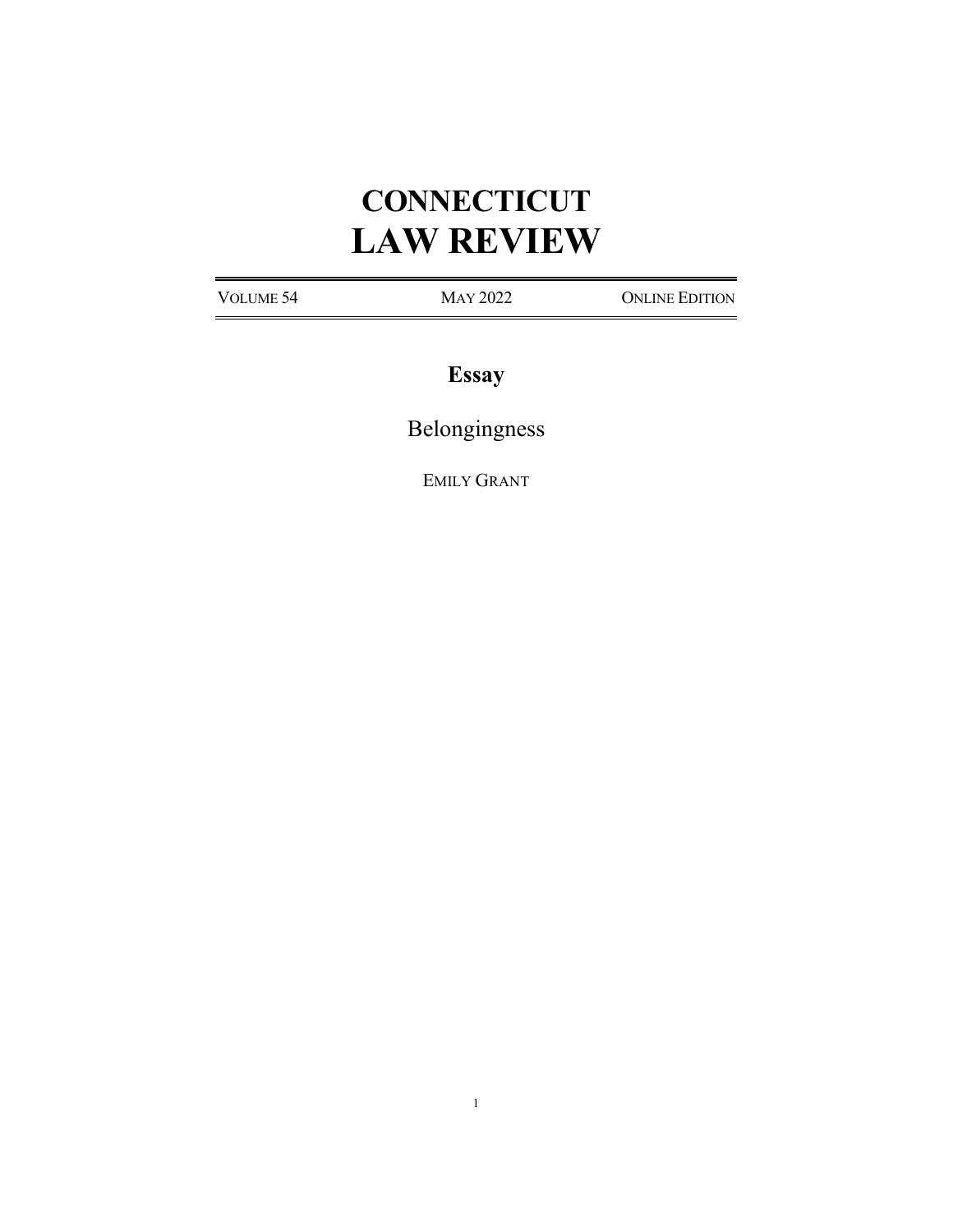# **CONNECTICUT LAW REVIEW**

VOLUME 54 MAY 2022 ONLINE EDITION

# **Essay**

Belongingness

EMILY GRANT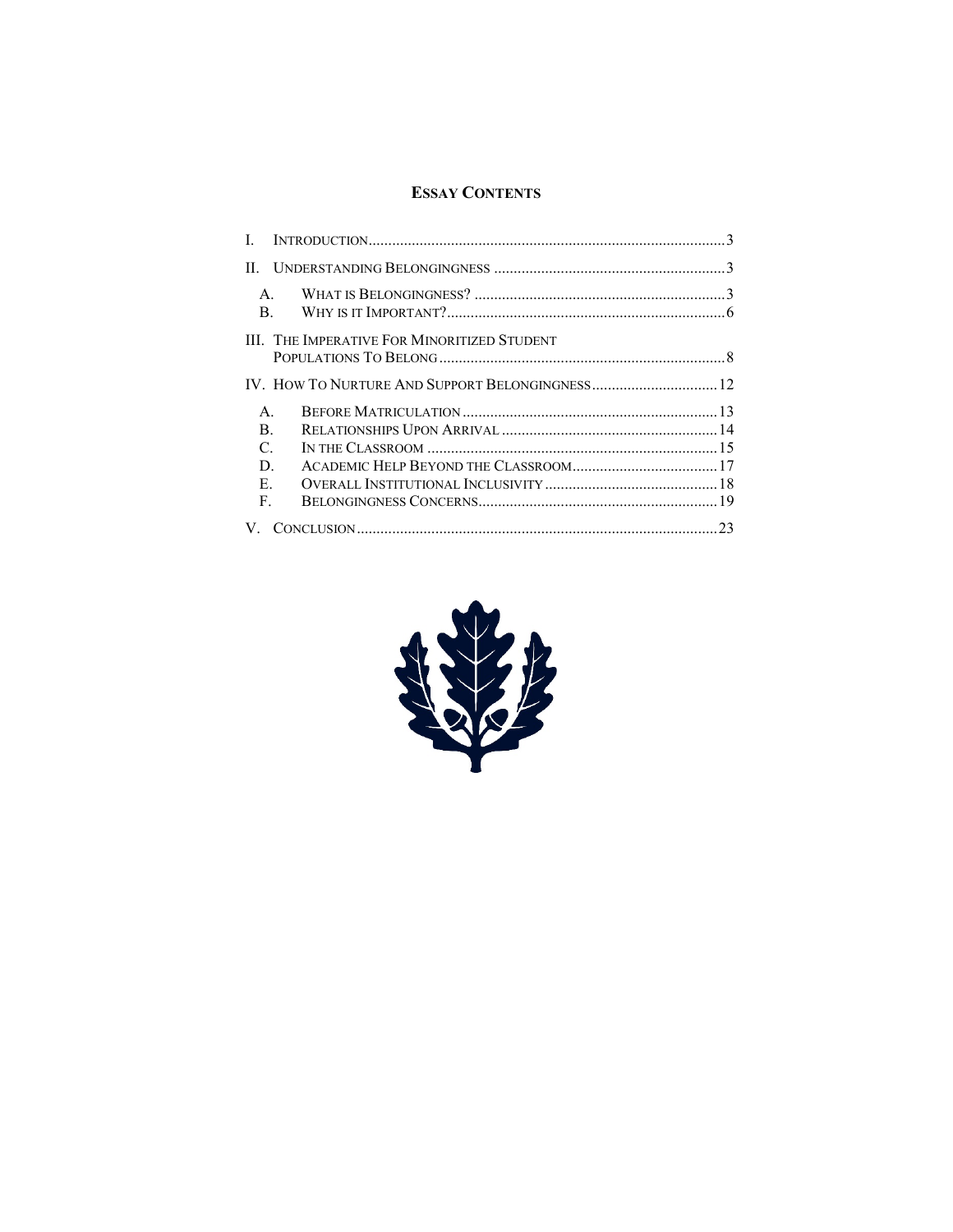### **ESSAY CONTENTS**

| $\mathsf{A}$ .<br>B.                                   |  |  |  |
|--------------------------------------------------------|--|--|--|
| <b>III. THE IMPERATIVE FOR MINORITIZED STUDENT</b>     |  |  |  |
| IV. HOW TO NURTURE AND SUPPORT BELONGINGNESS 12        |  |  |  |
| $\mathsf{A}$ .<br>B.<br>$\mathcal{C}$<br>D<br>E.<br>F. |  |  |  |
|                                                        |  |  |  |

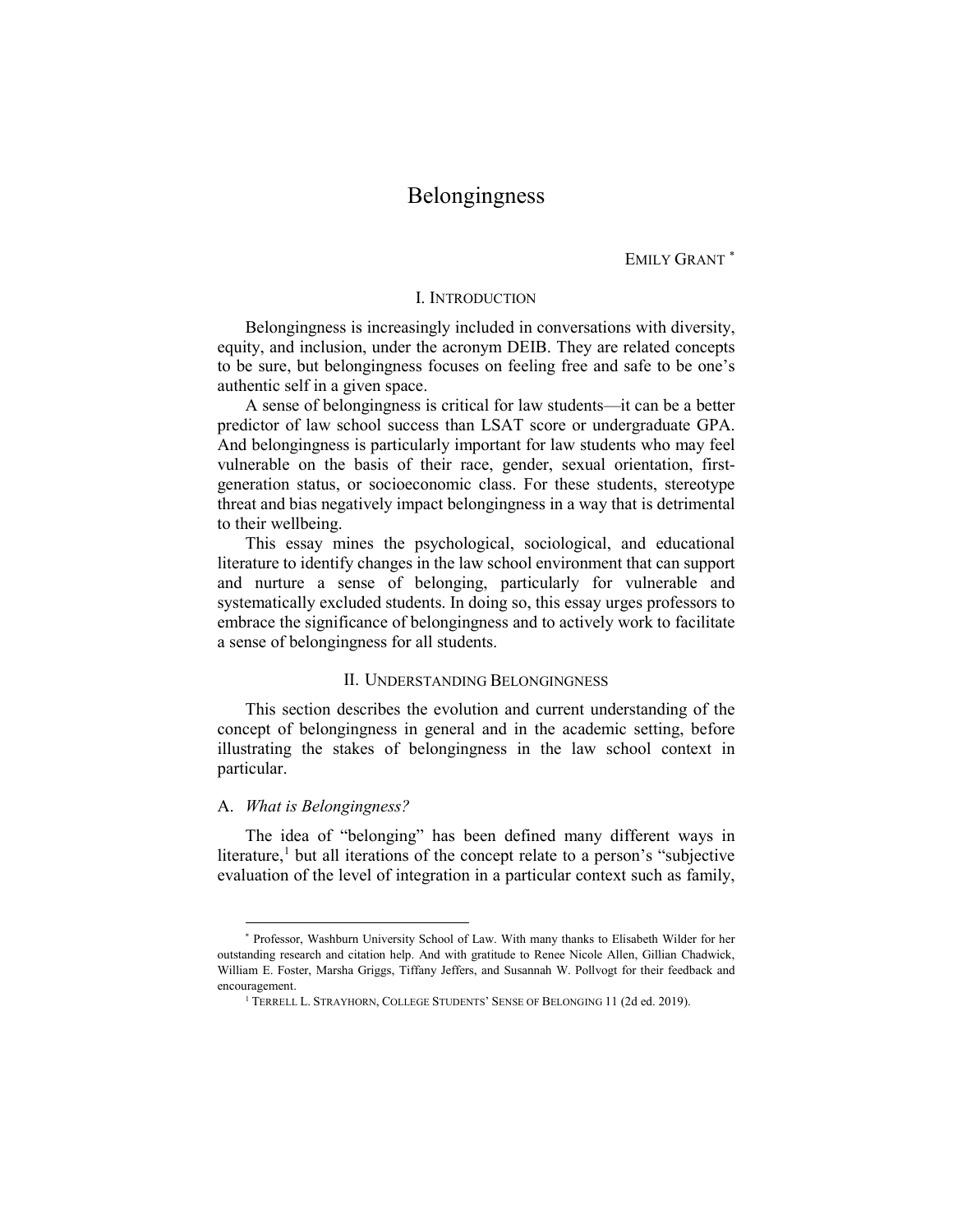## Belongingness

EMILY GRANT [\\*](#page-2-0)

#### I. INTRODUCTION

Belongingness is increasingly included in conversations with diversity, equity, and inclusion, under the acronym DEIB. They are related concepts to be sure, but belongingness focuses on feeling free and safe to be one's authentic self in a given space.

A sense of belongingness is critical for law students—it can be a better predictor of law school success than LSAT score or undergraduate GPA. And belongingness is particularly important for law students who may feel vulnerable on the basis of their race, gender, sexual orientation, firstgeneration status, or socioeconomic class. For these students, stereotype threat and bias negatively impact belongingness in a way that is detrimental to their wellbeing.

This essay mines the psychological, sociological, and educational literature to identify changes in the law school environment that can support and nurture a sense of belonging, particularly for vulnerable and systematically excluded students. In doing so, this essay urges professors to embrace the significance of belongingness and to actively work to facilitate a sense of belongingness for all students.

#### II. UNDERSTANDING BELONGINGNESS

This section describes the evolution and current understanding of the concept of belongingness in general and in the academic setting, before illustrating the stakes of belongingness in the law school context in particular.

#### A. *What is Belongingness?*

<span id="page-2-2"></span>The idea of "belonging" has been defined many different ways in literature,<sup>[1](#page-2-1)</sup> but all iterations of the concept relate to a person's "subjective evaluation of the level of integration in a particular context such as family,

<span id="page-2-1"></span><span id="page-2-0"></span> <sup>\*</sup> Professor, Washburn University School of Law. With many thanks to Elisabeth Wilder for her outstanding research and citation help. And with gratitude to Renee Nicole Allen, Gillian Chadwick, William E. Foster, Marsha Griggs, Tiffany Jeffers, and Susannah W. Pollvogt for their feedback and encouragement.

<sup>&</sup>lt;sup>1</sup> TERRELL L. STRAYHORN, COLLEGE STUDENTS' SENSE OF BELONGING 11 (2d ed. 2019).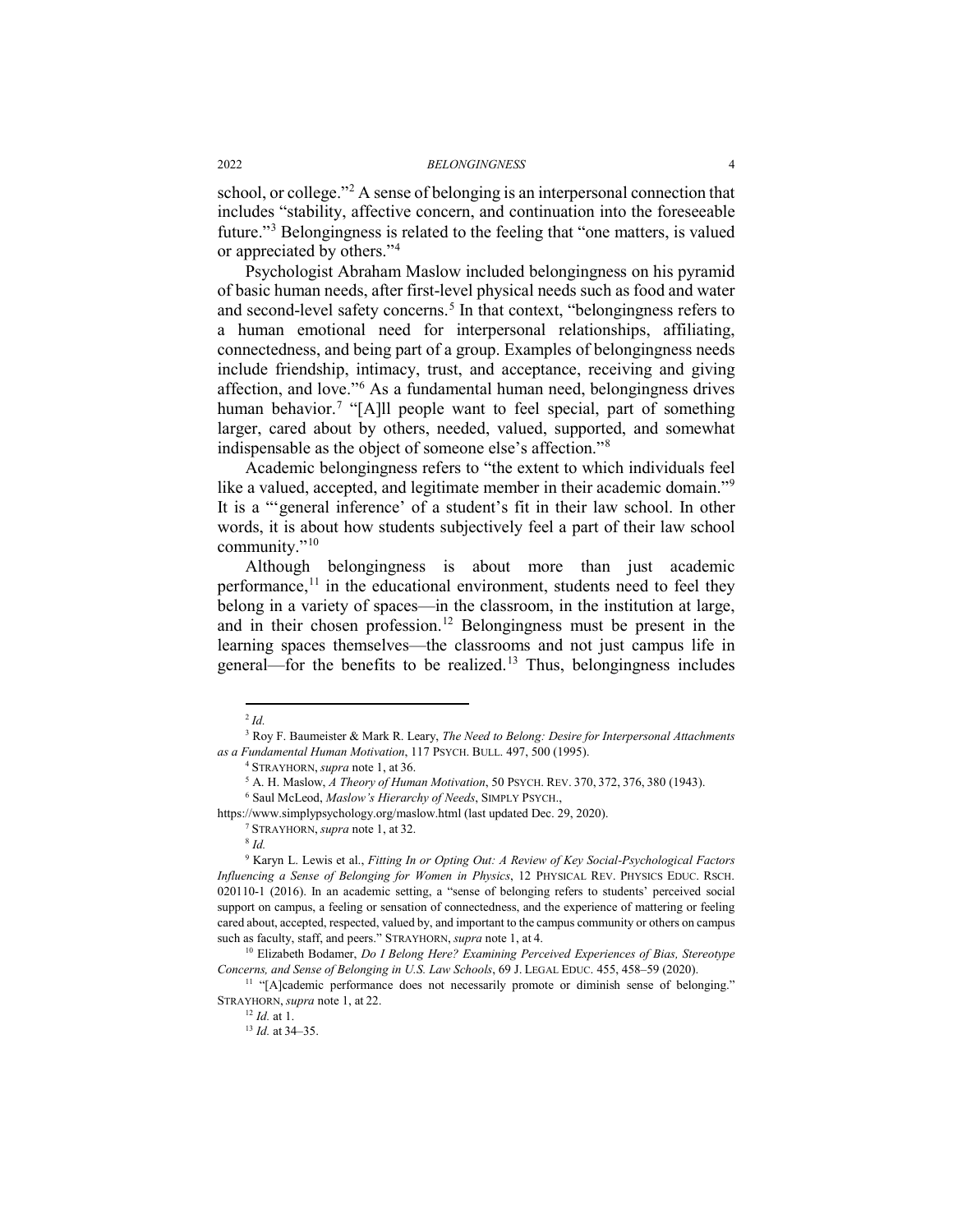<span id="page-3-12"></span>school, or college."<sup>[2](#page-3-0)</sup> A sense of belonging is an interpersonal connection that includes "stability, affective concern, and continuation into the foreseeable future."[3](#page-3-1) Belongingness is related to the feeling that "one matters, is valued or appreciated by others."[4](#page-3-2)

Psychologist Abraham Maslow included belongingness on his pyramid of basic human needs, after first-level physical needs such as food and water and second-level safety concerns.<sup>[5](#page-3-3)</sup> In that context, "belongingness refers to a human emotional need for interpersonal relationships, affiliating, connectedness, and being part of a group. Examples of belongingness needs include friendship, intimacy, trust, and acceptance, receiving and giving affection, and love."[6](#page-3-4) As a fundamental human need, belongingness drives human behavior.<sup>[7](#page-3-5)</sup> "[A]ll people want to feel special, part of something larger, cared about by others, needed, valued, supported, and somewhat indispensable as the object of someone else's affection."[8](#page-3-6)

<span id="page-3-14"></span>Academic belongingness refers to "the extent to which individuals feel like a valued, accepted, and legitimate member in their academic domain."<sup>[9](#page-3-7)</sup> It is a "'general inference' of a student's fit in their law school. In other words, it is about how students subjectively feel a part of their law school community."<sup>[10](#page-3-8)</sup>

<span id="page-3-13"></span>Although belongingness is about more than just academic performance, $11$  in the educational environment, students need to feel they belong in a variety of spaces—in the classroom, in the institution at large, and in their chosen profession.[12](#page-3-10) Belongingness must be present in the learning spaces themselves—the classrooms and not just campus life in general—for the benefits to be realized.<sup>[13](#page-3-11)</sup> Thus, belongingness includes

 <sup>2</sup> *Id.*

<span id="page-3-2"></span><span id="page-3-1"></span><span id="page-3-0"></span><sup>3</sup> Roy F. Baumeister & Mark R. Leary, *The Need to Belong: Desire for Interpersonal Attachments as a Fundamental Human Motivation*, 117 PSYCH. BULL. 497, 500 (1995). 4 STRAYHORN, *supra* not[e 1,](#page-2-2) at 36.

<sup>5</sup> A. H. Maslow, *A Theory of Human Motivation*, 50 PSYCH. REV. 370, 372, 376, 380 (1943).

<sup>6</sup> Saul McLeod, *Maslow's Hierarchy of Needs*, SIMPLY PSYCH.,

<span id="page-3-4"></span><span id="page-3-3"></span>https://www.simplypsychology.org/maslow.html (last updated Dec. 29, 2020).

<sup>7</sup> STRAYHORN, *supra* not[e 1,](#page-2-2) at 32.

<sup>8</sup> *Id.*

<span id="page-3-7"></span><span id="page-3-6"></span><span id="page-3-5"></span><sup>9</sup> Karyn L. Lewis et al., *Fitting In or Opting Out: A Review of Key Social-Psychological Factors Influencing a Sense of Belonging for Women in Physics*, 12 PHYSICAL REV. PHYSICS EDUC. RSCH. 020110-1 (2016). In an academic setting, a "sense of belonging refers to students' perceived social support on campus, a feeling or sensation of connectedness, and the experience of mattering or feeling cared about, accepted, respected, valued by, and important to the campus community or others on campus such as faculty, staff, and peers." STRAYHORN, *supra* not[e 1,](#page-2-2) at 4.

<span id="page-3-8"></span><sup>10</sup> Elizabeth Bodamer, *Do I Belong Here? Examining Perceived Experiences of Bias, Stereotype Concerns, and Sense of Belonging in U.S. Law Schools*, 69 J. LEGAL EDUC. 455, 458–59 (2020).<br><sup>11</sup> "[A]cademic performance does not necessarily promote or diminish sense of belonging."

<span id="page-3-11"></span><span id="page-3-10"></span><span id="page-3-9"></span>STRAYHORN, *supra* not[e 1,](#page-2-2) at 22.

<sup>12</sup> *Id.* at 1.

<sup>13</sup> *Id.* at 34–35.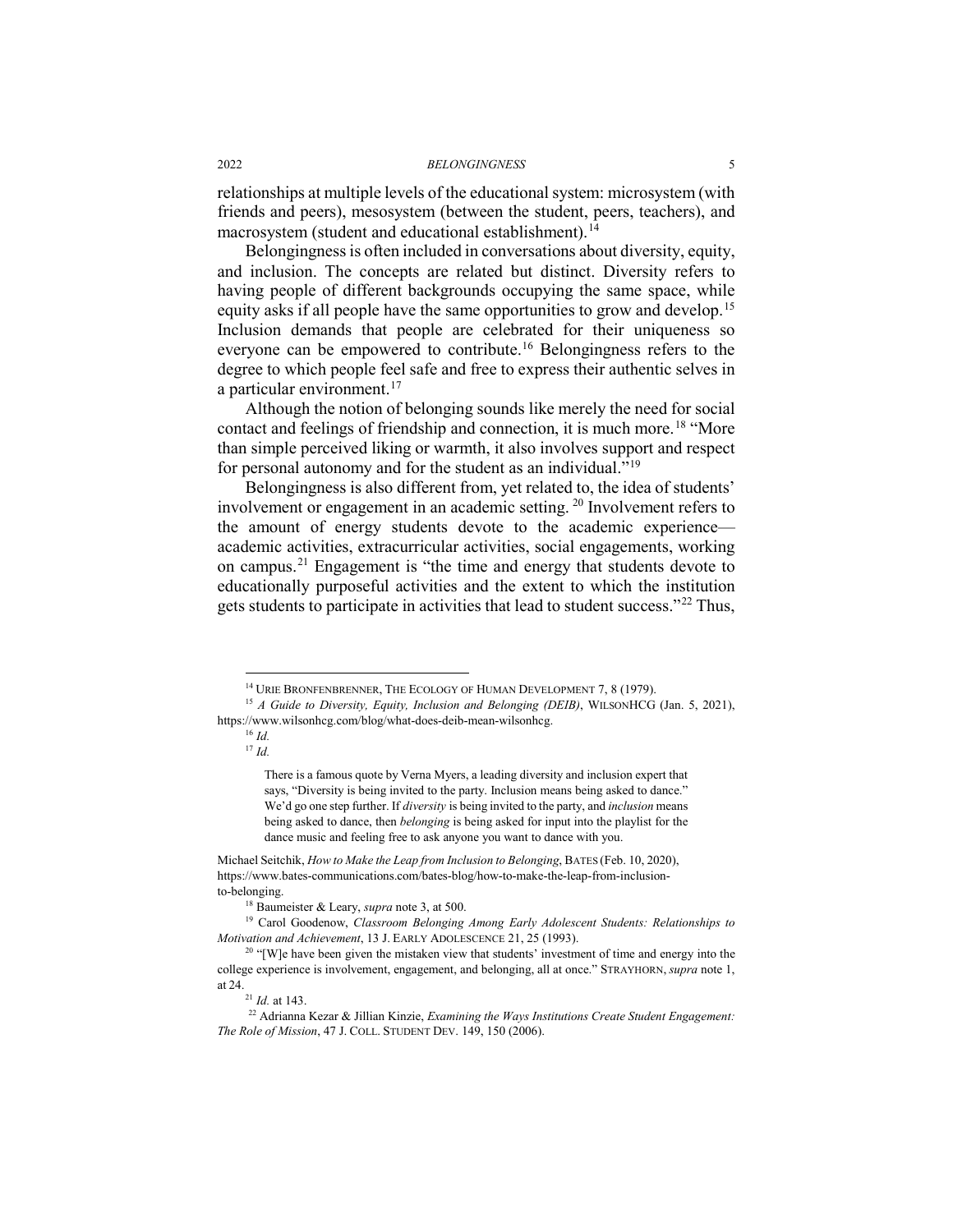relationships at multiple levels of the educational system: microsystem (with friends and peers), mesosystem (between the student, peers, teachers), and macrosystem (student and educational establishment).<sup>[14](#page-4-0)</sup>

Belongingness is often included in conversations about diversity, equity, and inclusion. The concepts are related but distinct. Diversity refers to having people of different backgrounds occupying the same space, while equity asks if all people have the same opportunities to grow and develop.<sup>[15](#page-4-1)</sup> Inclusion demands that people are celebrated for their uniqueness so everyone can be empowered to contribute.[16](#page-4-2) Belongingness refers to the degree to which people feel safe and free to express their authentic selves in a particular environment. $17$ 

Although the notion of belonging sounds like merely the need for social contact and feelings of friendship and connection, it is much more.<sup>[18](#page-4-4)</sup> "More than simple perceived liking or warmth, it also involves support and respect for personal autonomy and for the student as an individual."[19](#page-4-5)

Belongingness is also different from, yet related to, the idea of students' involvement or engagement in an academic setting. [20](#page-4-6) Involvement refers to the amount of energy students devote to the academic experience academic activities, extracurricular activities, social engagements, working on campus.[21](#page-4-7) Engagement is "the time and energy that students devote to educationally purposeful activities and the extent to which the institution gets students to participate in activities that lead to student success."[22](#page-4-8) Thus,

<span id="page-4-3"></span><span id="page-4-2"></span><span id="page-4-1"></span><span id="page-4-0"></span><sup>&</sup>lt;sup>14</sup> URIE BRONFENBRENNER, THE ECOLOGY OF HUMAN DEVELOPMENT 7, 8 (1979).<br><sup>15</sup> *A Guide to Diversity, Equity, Inclusion and Belonging (DEIB)*, WILSONHCG (Jan. 5, 2021), https://www.wilsonhcg.com/blog/what-does-deib-mean-wilsonhcg.

<sup>16</sup> *Id.*

<sup>17</sup> *Id.*

There is a famous quote by Verna Myers, a leading diversity and inclusion expert that says, "Diversity is being invited to the party. Inclusion means being asked to dance." We'd go one step further. If *diversity* is being invited to the party, and *inclusion* means being asked to dance, then *belonging* is being asked for input into the playlist for the dance music and feeling free to ask anyone you want to dance with you.

Michael Seitchik, *How to Make the Leap from Inclusion to Belonging*, BATES (Feb. 10, 2020), https://www.bates-communications.com/bates-blog/how-to-make-the-leap-from-inclusionto-belonging.

<sup>18</sup> Baumeister & Leary, *supra* not[e 3,](#page-3-12) at 500.

<span id="page-4-5"></span><span id="page-4-4"></span><sup>19</sup> Carol Goodenow, *Classroom Belonging Among Early Adolescent Students: Relationships to Motivation and Achievement*, 13 J. EARLY ADOLESCENCE 21, 25 (1993).<br><sup>20</sup> "[W]e have been given the mistaken view that students' investment of time and energy into the

<span id="page-4-6"></span>college experience is involvement, engagement, and belonging, all at once." STRAYHORN, *supra* not[e 1,](#page-2-2)  at 24.21 *Id.* at 143.

<span id="page-4-8"></span><span id="page-4-7"></span><sup>22</sup> Adrianna Kezar & Jillian Kinzie, *Examining the Ways Institutions Create Student Engagement: The Role of Mission*, 47 J. COLL. STUDENT DEV. 149, 150 (2006).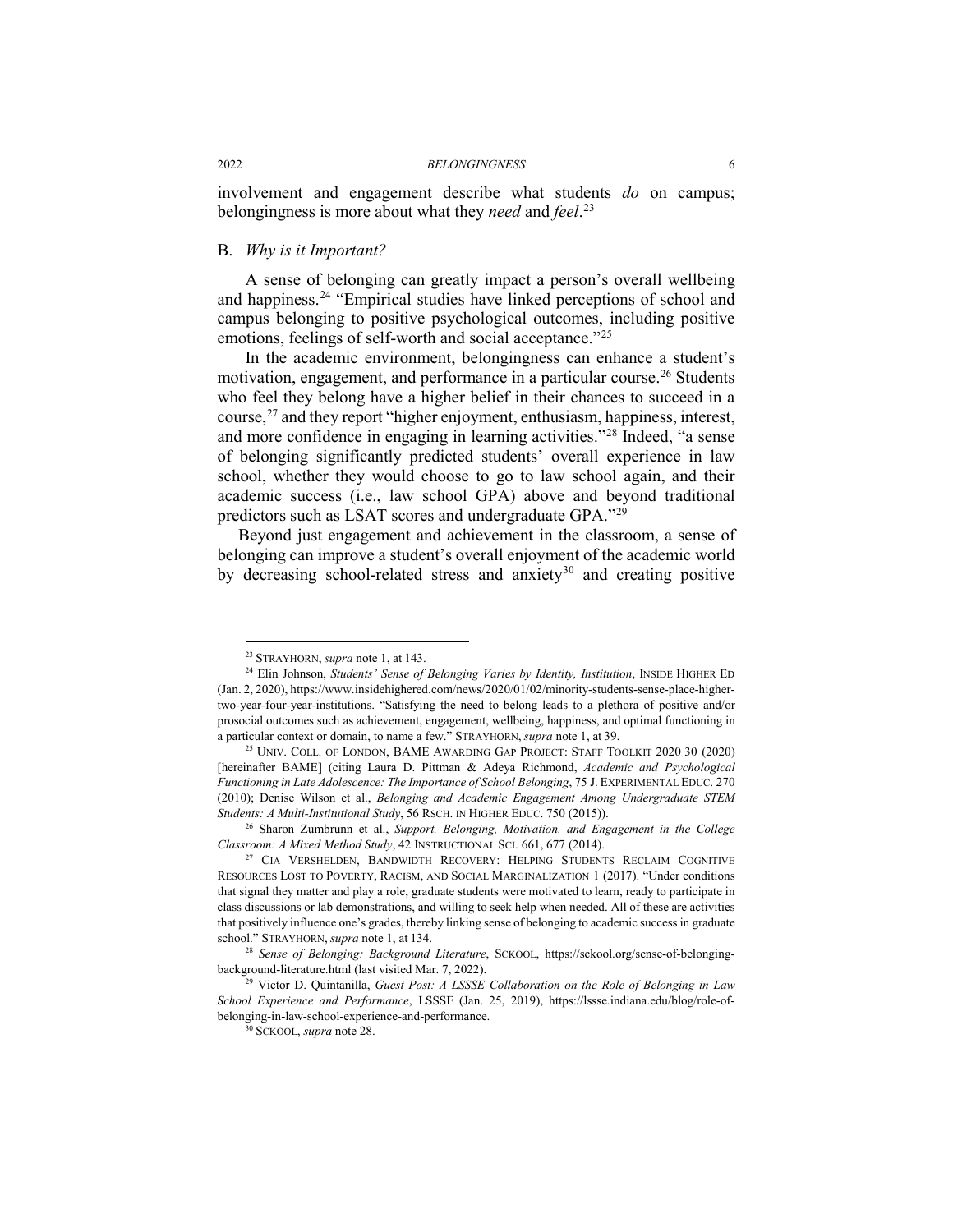involvement and engagement describe what students *do* on campus; belongingness is more about what they *need* and *feel*. [23](#page-5-1)

#### B. *Why is it Important?*

<span id="page-5-9"></span>A sense of belonging can greatly impact a person's overall wellbeing and happiness.[24](#page-5-2) "Empirical studies have linked perceptions of school and campus belonging to positive psychological outcomes, including positive emotions, feelings of self-worth and social acceptance."<sup>[25](#page-5-3)</sup>

<span id="page-5-11"></span><span id="page-5-0"></span>In the academic environment, belongingness can enhance a student's motivation, engagement, and performance in a particular course.<sup>[26](#page-5-4)</sup> Students who feel they belong have a higher belief in their chances to succeed in a course, [27](#page-5-5) and they report "higher enjoyment, enthusiasm, happiness, interest, and more confidence in engaging in learning activities."[28](#page-5-6) Indeed, "a sense of belonging significantly predicted students' overall experience in law school, whether they would choose to go to law school again, and their academic success (i.e., law school GPA) above and beyond traditional predictors such as LSAT scores and undergraduate GPA."[29](#page-5-7)

Beyond just engagement and achievement in the classroom, a sense of belonging can improve a student's overall enjoyment of the academic world by decreasing school-related stress and anxiety<sup>[30](#page-5-8)</sup> and creating positive

<span id="page-5-10"></span> <sup>23</sup> STRAYHORN, *supra* not[e 1,](#page-2-2) at 143.

<span id="page-5-2"></span><span id="page-5-1"></span><sup>24</sup> Elin Johnson, *Students' Sense of Belonging Varies by Identity, Institution*, INSIDE HIGHER ED (Jan. 2, 2020), https://www.insidehighered.com/news/2020/01/02/minority-students-sense-place-highertwo-year-four-year-institutions. "Satisfying the need to belong leads to a plethora of positive and/or prosocial outcomes such as achievement, engagement, wellbeing, happiness, and optimal functioning in a particular context or domain, to name a few." STRAYHORN, *supra* not[e 1,](#page-2-2) at 39.

<span id="page-5-3"></span><sup>&</sup>lt;sup>25</sup> UNIV. COLL. OF LONDON, BAME AWARDING GAP PROJECT: STAFF TOOLKIT 2020 30 (2020) [hereinafter BAME] (citing Laura D. Pittman & Adeya Richmond, *Academic and Psychological Functioning in Late Adolescence: The Importance of School Belonging*, 75 J. EXPERIMENTAL EDUC. 270 (2010); Denise Wilson et al., *Belonging and Academic Engagement Among Undergraduate STEM* 

<span id="page-5-4"></span>*Students: A Multi-Institutional Study*, 56 RSCH. IN HIGHER EDUC. 750 (2015)). 26 Sharon Zumbrunn et al., *Support, Belonging, Motivation, and Engagement in the College Classroom: A Mixed Method Study*, 42 INSTRUCTIONAL SCI. 661, 677 (2014).

<span id="page-5-5"></span><sup>&</sup>lt;sup>27</sup> CIA VERSHELDEN, BANDWIDTH RECOVERY: HELPING STUDENTS RECLAIM COGNITIVE RESOURCES LOST TO POVERTY, RACISM, AND SOCIAL MARGINALIZATION 1 (2017). "Under conditions that signal they matter and play a role, graduate students were motivated to learn, ready to participate in class discussions or lab demonstrations, and willing to seek help when needed. All of these are activities that positively influence one's grades, thereby linking sense of belonging to academic success in graduate school." STRAYHORN, *supra* not[e 1,](#page-2-2) at 134.

<span id="page-5-6"></span><sup>28</sup> *Sense of Belonging: Background Literature*, SCKOOL, https://sckool.org/sense-of-belongingbackground-literature.html (last visited Mar. 7, 2022). 29 Victor D. Quintanilla, *Guest Post: A LSSSE Collaboration on the Role of Belonging in Law* 

<span id="page-5-8"></span><span id="page-5-7"></span>*School Experience and Performance*, LSSSE (Jan. 25, 2019), https://lssse.indiana.edu/blog/role-ofbelonging-in-law-school-experience-and-performance.

<sup>30</sup> SCKOOL, *supra* not[e 28.](#page-5-0)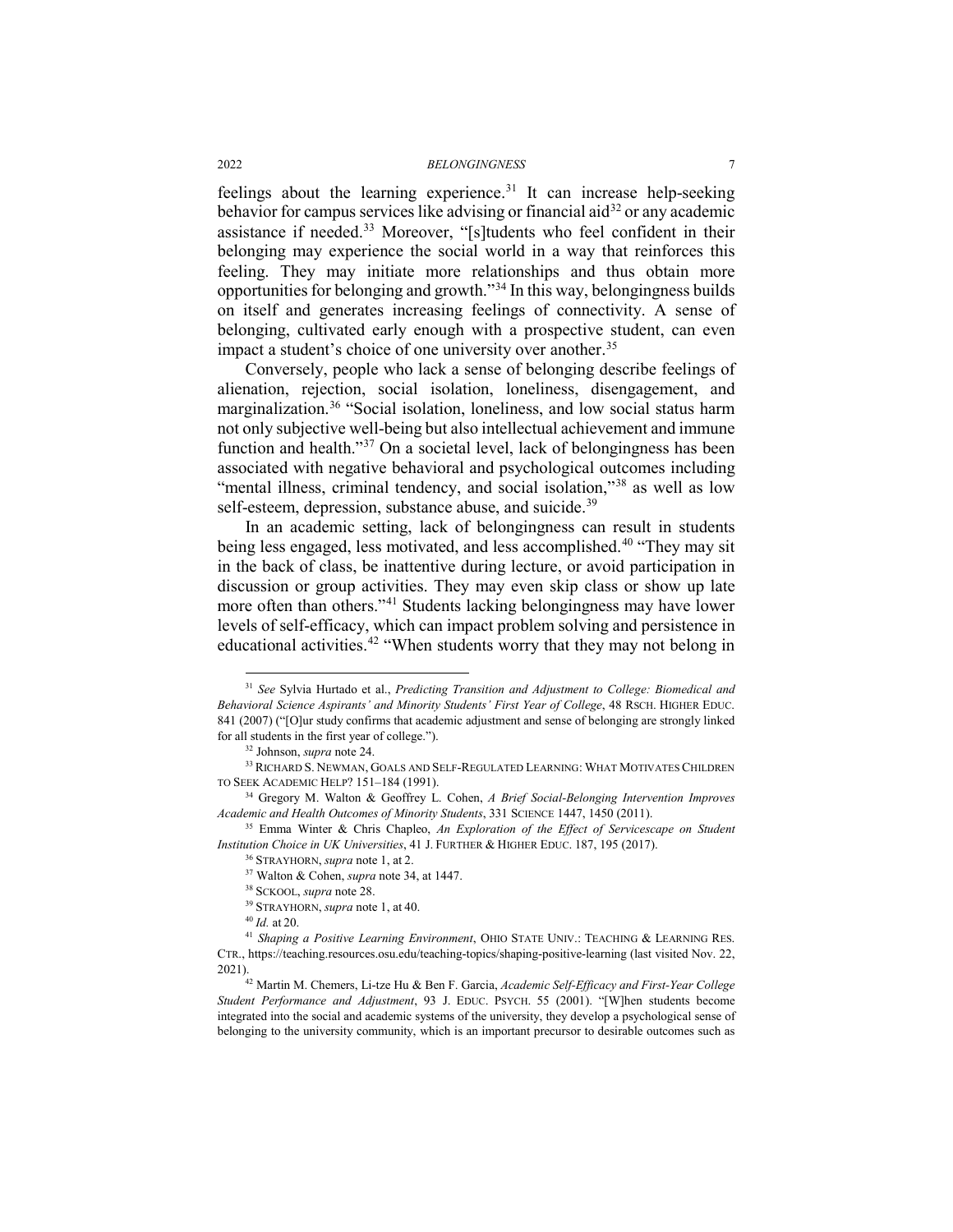feelings about the learning experience.<sup>[31](#page-6-1)</sup> It can increase help-seeking behavior for campus services like advising or financial aid<sup>[32](#page-6-2)</sup> or any academic assistance if needed.<sup>[33](#page-6-3)</sup> Moreover, "[s]tudents who feel confident in their belonging may experience the social world in a way that reinforces this feeling. They may initiate more relationships and thus obtain more opportunities for belonging and growth.["34](#page-6-4) In this way, belongingness builds on itself and generates increasing feelings of connectivity. A sense of belonging, cultivated early enough with a prospective student, can even impact a student's choice of one university over another.<sup>[35](#page-6-5)</sup>

<span id="page-6-0"></span>Conversely, people who lack a sense of belonging describe feelings of alienation, rejection, social isolation, loneliness, disengagement, and marginalization. [36](#page-6-6) "Social isolation, loneliness, and low social status harm not only subjective well-being but also intellectual achievement and immune function and health."[37](#page-6-7) On a societal level, lack of belongingness has been associated with negative behavioral and psychological outcomes including "mental illness, criminal tendency, and social isolation,"<sup>[38](#page-6-8)</sup> as well as low self-esteem, depression, substance abuse, and suicide.<sup>[39](#page-6-9)</sup>

<span id="page-6-13"></span>In an academic setting, lack of belongingness can result in students being less engaged, less motivated, and less accomplished.<sup>[40](#page-6-10)</sup> "They may sit in the back of class, be inattentive during lecture, or avoid participation in discussion or group activities. They may even skip class or show up late more often than others."<sup>[41](#page-6-11)</sup> Students lacking belongingness may have lower levels of self-efficacy, which can impact problem solving and persistence in educational activities.<sup>[42](#page-6-12)</sup> "When students worry that they may not belong in

<span id="page-6-14"></span><span id="page-6-1"></span> <sup>31</sup> *See* Sylvia Hurtado et al., *Predicting Transition and Adjustment to College: Biomedical and Behavioral Science Aspirants' and Minority Students' First Year of College*, 48 RSCH. HIGHER EDUC. 841 (2007) ("[O]ur study confirms that academic adjustment and sense of belonging are strongly linked for all students in the first year of college.").

<sup>32</sup> Johnson, *supra* not[e 24.](#page-5-9)

<span id="page-6-3"></span><span id="page-6-2"></span><sup>&</sup>lt;sup>33</sup> RICHARD S. NEWMAN, GOALS AND SELF-REGULATED LEARNING: WHAT MOTIVATES CHILDREN TO SEEK ACADEMIC HELP? 151–184 (1991).

<span id="page-6-4"></span><sup>34</sup> Gregory M. Walton & Geoffrey L. Cohen, *A Brief Social-Belonging Intervention Improves* 

<span id="page-6-7"></span><span id="page-6-6"></span><span id="page-6-5"></span><sup>&</sup>lt;sup>35</sup> Emma Winter & Chris Chapleo, *An Exploration of the Effect of Servicescape on Student Institution Choice in UK Universities*, 41 J. FURTHER & HIGHER EDUC. 187, 195 (2017). <sup>36</sup> STRAYHORN, *supra* not[e 1,](#page-2-2) at 2.

<sup>37</sup> Walton & Cohen, *supra* not[e 34,](#page-6-0) at 1447.

<sup>38</sup> SCKOOL, *supra* not[e 28.](#page-5-0)

<sup>39</sup> STRAYHORN, *supra* not[e 1,](#page-2-2) at 40.

<sup>40</sup> *Id.* at 20.

<span id="page-6-11"></span><span id="page-6-10"></span><span id="page-6-9"></span><span id="page-6-8"></span><sup>41</sup> *Shaping a Positive Learning Environment*, OHIO STATE UNIV.: TEACHING & LEARNING RES. CTR., https://teaching.resources.osu.edu/teaching-topics/shaping-positive-learning (last visited Nov. 22, 2021).42 Martin M. Chemers, Li-tze Hu & Ben F. Garcia, *Academic Self-Efficacy and First-Year College* 

<span id="page-6-12"></span>*Student Performance and Adjustment*, 93 J. EDUC. PSYCH. 55 (2001). "[W]hen students become integrated into the social and academic systems of the university, they develop a psychological sense of belonging to the university community, which is an important precursor to desirable outcomes such as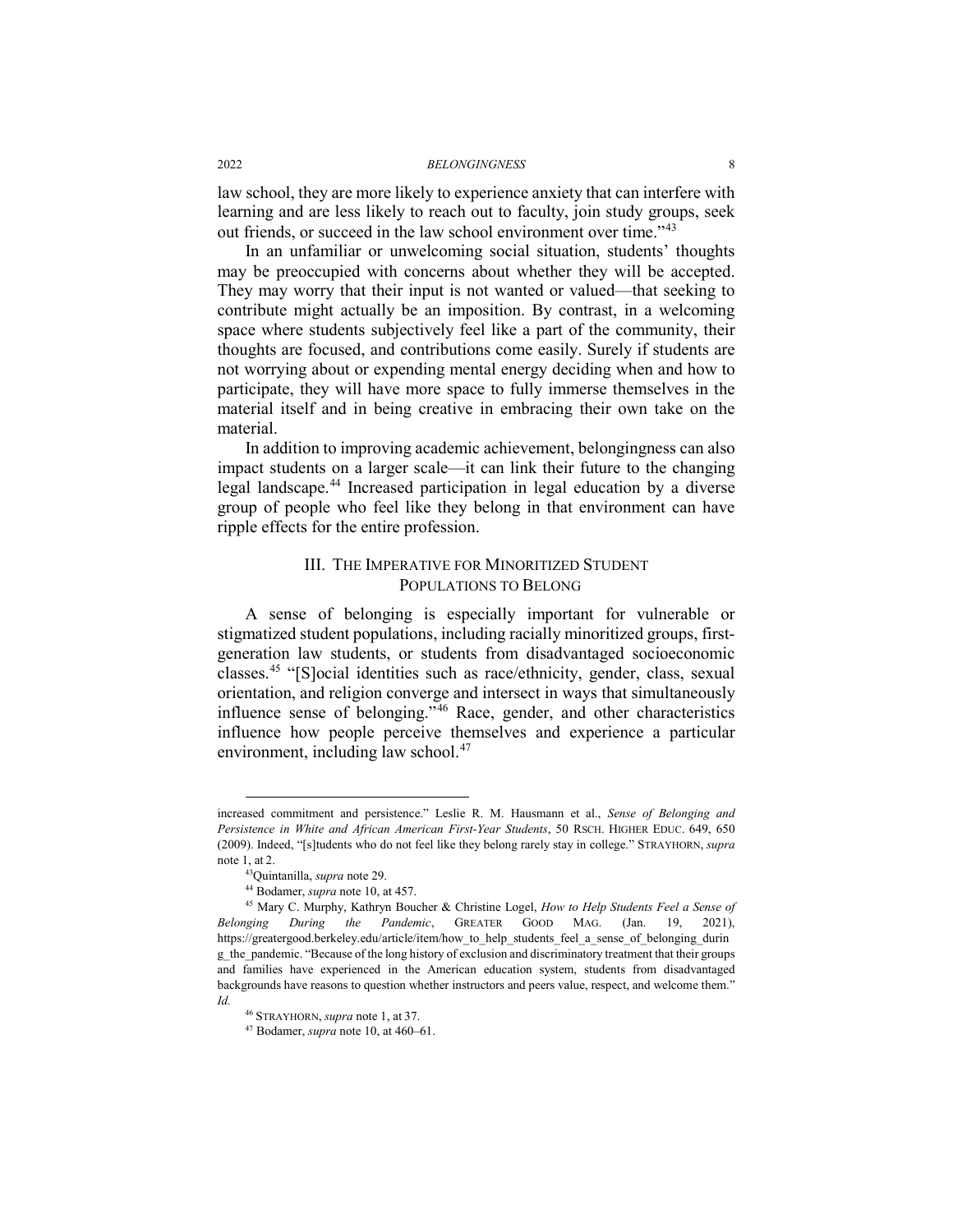law school, they are more likely to experience anxiety that can interfere with learning and are less likely to reach out to faculty, join study groups, seek out friends, or succeed in the law school environment over time."[43](#page-7-0)

In an unfamiliar or unwelcoming social situation, students' thoughts may be preoccupied with concerns about whether they will be accepted. They may worry that their input is not wanted or valued—that seeking to contribute might actually be an imposition. By contrast, in a welcoming space where students subjectively feel like a part of the community, their thoughts are focused, and contributions come easily. Surely if students are not worrying about or expending mental energy deciding when and how to participate, they will have more space to fully immerse themselves in the material itself and in being creative in embracing their own take on the material.

In addition to improving academic achievement, belongingness can also impact students on a larger scale—it can link their future to the changing legal landscape.[44](#page-7-1) Increased participation in legal education by a diverse group of people who feel like they belong in that environment can have ripple effects for the entire profession.

#### III. THE IMPERATIVE FOR MINORITIZED STUDENT POPULATIONS TO BELONG

<span id="page-7-5"></span>A sense of belonging is especially important for vulnerable or stigmatized student populations, including racially minoritized groups, firstgeneration law students, or students from disadvantaged socioeconomic classes.[45](#page-7-2) "[S]ocial identities such as race/ethnicity, gender, class, sexual orientation, and religion converge and intersect in ways that simultaneously influence sense of belonging."[46](#page-7-3) Race, gender, and other characteristics influence how people perceive themselves and experience a particular environment, including law school.<sup>[47](#page-7-4)</sup>

increased commitment and persistence." Leslie R. M. Hausmann et al., *Sense of Belonging and Persistence in White and African American First-Year Students*, 50 RSCH. HIGHER EDUC. 649, 650 (2009). Indeed, "[s]tudents who do not feel like they belong rarely stay in college." STRAYHORN, *supra* not[e 1,](#page-2-2) at 2.

<sup>43</sup>Quintanilla, *supra* not[e 29.](#page-5-10)

<span id="page-7-2"></span><span id="page-7-1"></span><span id="page-7-0"></span><sup>44</sup> Bodamer, *supra* not[e 10,](#page-3-13) at 457. 45 Mary C. Murphy, Kathryn Boucher & Christine Logel, *How to Help Students Feel a Sense of Belonging During the Pandemic*, GREATER GOOD MAG. (Jan. 19, 2021), https://greatergood.berkeley.edu/article/item/how\_to\_help\_students\_feel\_a\_sense\_of\_belonging\_durin g\_the\_pandemic. "Because of the long history of exclusion and discriminatory treatment that their groups and families have experienced in the American education system, students from disadvantaged backgrounds have reasons to question whether instructors and peers value, respect, and welcome them." *Id.*

<sup>46</sup> STRAYHORN, *supra* not[e 1,](#page-2-2) at 37.

<span id="page-7-4"></span><span id="page-7-3"></span><sup>47</sup> Bodamer, *supra* not[e 10,](#page-3-13) at 460–61.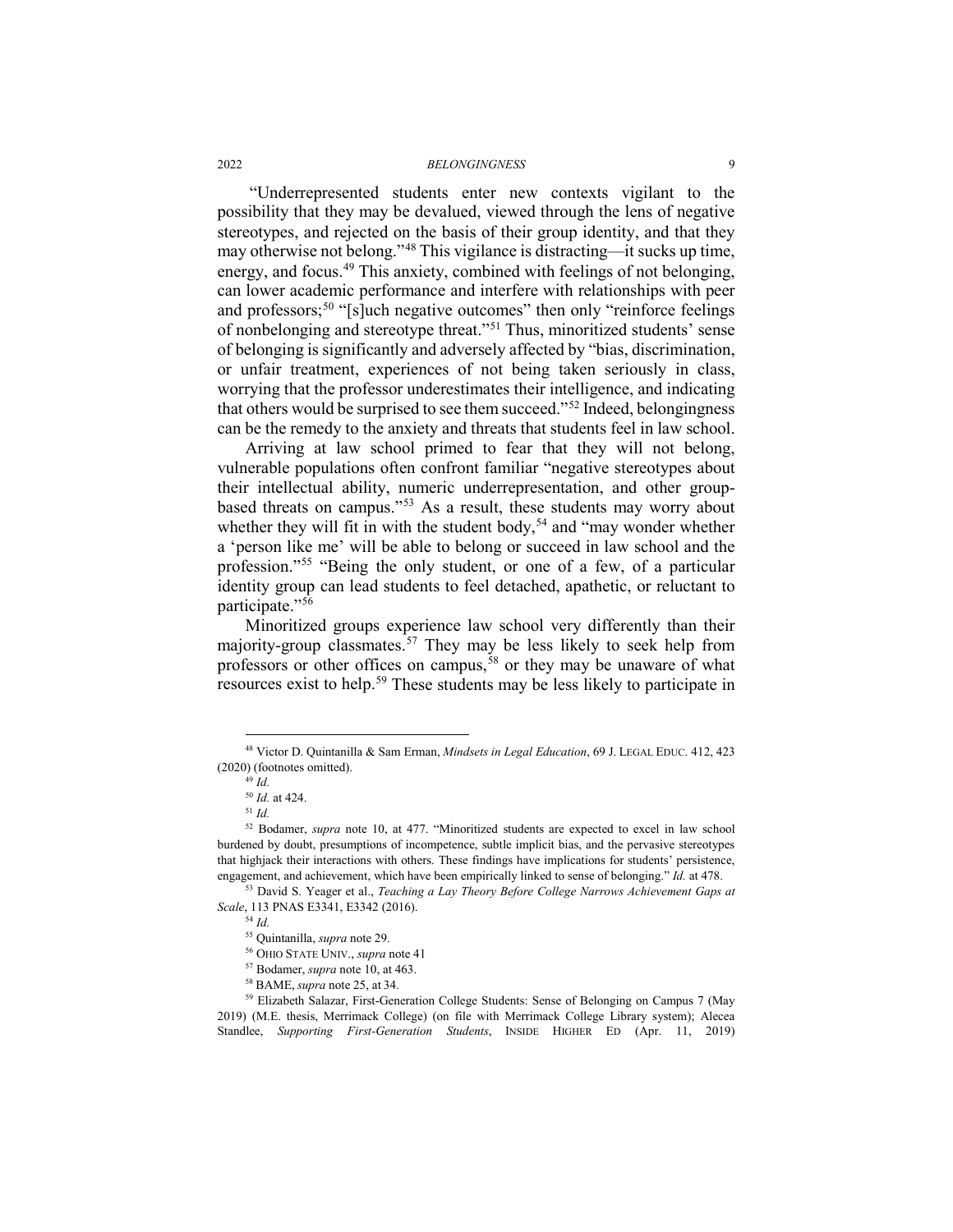<span id="page-8-12"></span>"Underrepresented students enter new contexts vigilant to the possibility that they may be devalued, viewed through the lens of negative stereotypes, and rejected on the basis of their group identity, and that they may otherwise not belong."[48](#page-8-0) This vigilance is distracting—it sucks up time, energy, and focus.<sup>[49](#page-8-1)</sup> This anxiety, combined with feelings of not belonging, can lower academic performance and interfere with relationships with peer and professors;<sup>[50](#page-8-2)</sup> "[s]uch negative outcomes" then only "reinforce feelings of nonbelonging and stereotype threat."[51](#page-8-3) Thus, minoritized students' sense of belonging is significantly and adversely affected by "bias, discrimination, or unfair treatment, experiences of not being taken seriously in class, worrying that the professor underestimates their intelligence, and indicating that others would be surprised to see them succeed."[52](#page-8-4) Indeed, belongingness can be the remedy to the anxiety and threats that students feel in law school.

<span id="page-8-13"></span>Arriving at law school primed to fear that they will not belong, vulnerable populations often confront familiar "negative stereotypes about their intellectual ability, numeric underrepresentation, and other groupbased threats on campus."[53](#page-8-5) As a result, these students may worry about whether they will fit in with the student body,<sup>[54](#page-8-6)</sup> and "may wonder whether a 'person like me' will be able to belong or succeed in law school and the profession."[55](#page-8-7) "Being the only student, or one of a few, of a particular identity group can lead students to feel detached, apathetic, or reluctant to participate."[56](#page-8-8)

Minoritized groups experience law school very differently than their majority-group classmates.[57](#page-8-9) They may be less likely to seek help from professors or other offices on campus,<sup>[58](#page-8-10)</sup> or they may be unaware of what resources exist to help.[59](#page-8-11) These students may be less likely to participate in

<span id="page-8-1"></span><span id="page-8-0"></span> <sup>48</sup> Victor D. Quintanilla & Sam Erman, *Mindsets in Legal Education*, 69 J. LEGAL EDUC. 412, 423 (2020) (footnotes omitted).

<span id="page-8-14"></span><sup>49</sup> *Id.*

<sup>50</sup> *Id.* at 424.

<sup>51</sup> *Id.*

<span id="page-8-4"></span><span id="page-8-3"></span><span id="page-8-2"></span><sup>52</sup> Bodamer, *supra* note [10,](#page-3-13) at 477. "Minoritized students are expected to excel in law school burdened by doubt, presumptions of incompetence, subtle implicit bias, and the pervasive stereotypes that highjack their interactions with others. These findings have implications for students' persistence, engagement, and achievement, which have been empirically linked to sense of belonging." *Id.* at 478.

<span id="page-8-7"></span><span id="page-8-6"></span><span id="page-8-5"></span><sup>53</sup> David S. Yeager et al., *Teaching a Lay Theory Before College Narrows Achievement Gaps at Scale*, 113 PNAS E3341, E3342 (2016).

<sup>54</sup> *Id.*

<sup>55</sup> Quintanilla, *supra* not[e 29.](#page-5-10)

<sup>56</sup> OHIO STATE UNIV., *supra* not[e 41](#page-6-13)

<sup>57</sup> Bodamer, *supra* not[e 10,](#page-3-13) at 463.

<sup>58</sup> BAME, *supra* not[e 25,](#page-5-11) at 34.

<span id="page-8-11"></span><span id="page-8-10"></span><span id="page-8-9"></span><span id="page-8-8"></span><sup>59</sup> Elizabeth Salazar, First-Generation College Students: Sense of Belonging on Campus 7 (May 2019) (M.E. thesis, Merrimack College) (on file with Merrimack College Library system); Alecea Standlee, *Supporting First-Generation Students*, INSIDE HIGHER ED (Apr. 11, 2019)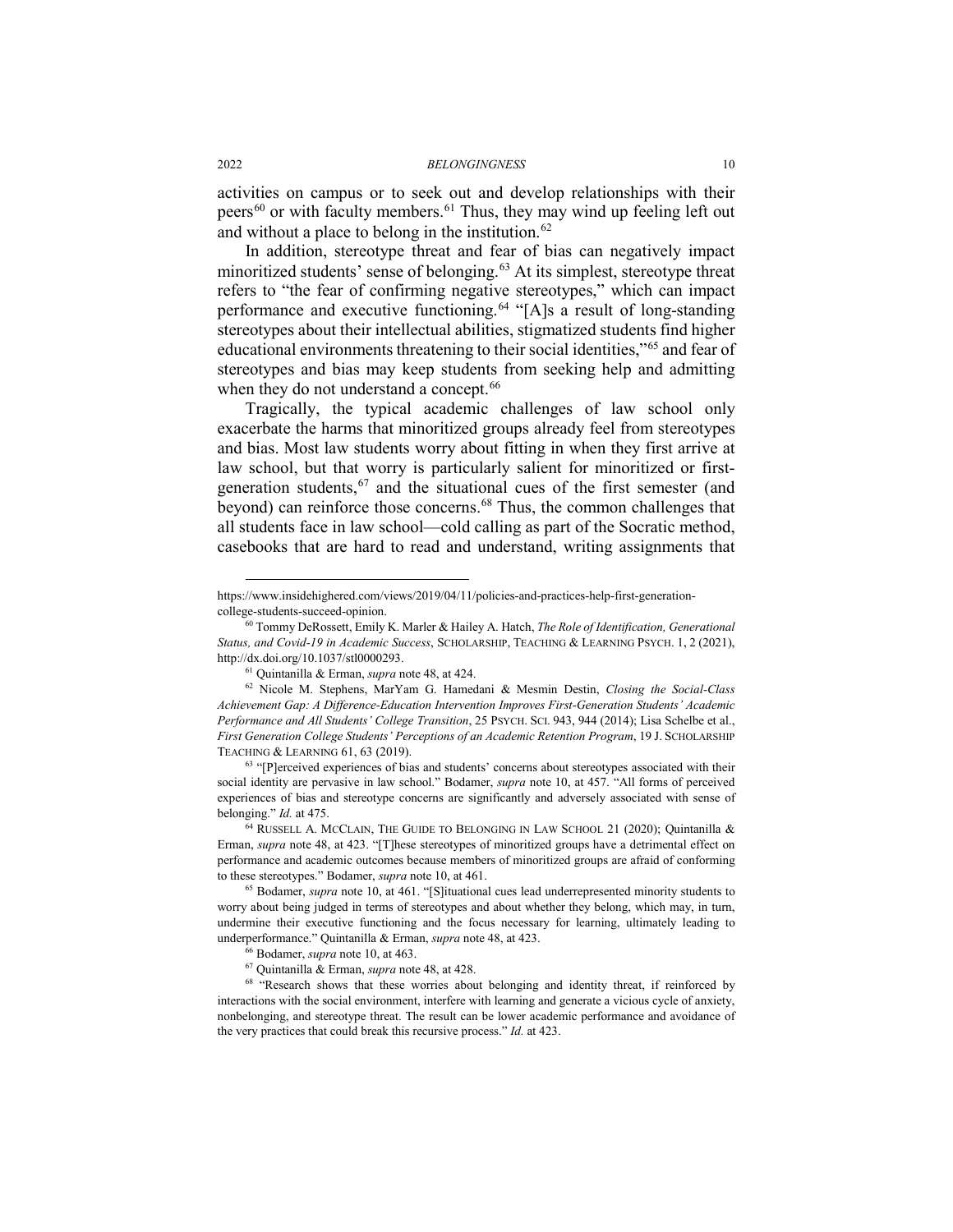<span id="page-9-10"></span>activities on campus or to seek out and develop relationships with their peers<sup>[60](#page-9-0)</sup> or with faculty members.<sup>[61](#page-9-1)</sup> Thus, they may wind up feeling left out and without a place to belong in the institution. $62$ 

<span id="page-9-9"></span>In addition, stereotype threat and fear of bias can negatively impact minoritized students' sense of belonging.<sup>[63](#page-9-3)</sup> At its simplest, stereotype threat refers to "the fear of confirming negative stereotypes," which can impact performance and executive functioning.<sup>[64](#page-9-4)</sup> "[A]s a result of long-standing stereotypes about their intellectual abilities, stigmatized students find higher educational environments threatening to their social identities,"[65](#page-9-5) and fear of stereotypes and bias may keep students from seeking help and admitting when they do not understand a concept.<sup>[66](#page-9-6)</sup>

Tragically, the typical academic challenges of law school only exacerbate the harms that minoritized groups already feel from stereotypes and bias. Most law students worry about fitting in when they first arrive at law school, but that worry is particularly salient for minoritized or first-generation students,<sup>[67](#page-9-7)</sup> and the situational cues of the first semester (and beyond) can reinforce those concerns.<sup>68</sup> Thus, the common challenges that all students face in law school—cold calling as part of the Socratic method, casebooks that are hard to read and understand, writing assignments that

<span id="page-9-3"></span><sup>63</sup> "[P]erceived experiences of bias and students' concerns about stereotypes associated with their social identity are pervasive in law school." Bodamer, *supra* not[e 10,](#page-3-13) at 457. "All forms of perceived experiences of bias and stereotype concerns are significantly and adversely associated with sense of belonging." *Id.* at 475.

<span id="page-9-4"></span><sup>64</sup> RUSSELL A. MCCLAIN, THE GUIDE TO BELONGING IN LAW SCHOOL 21 (2020); Quintanilla & Erman, *supra* not[e 48,](#page-8-12) at 423. "[T]hese stereotypes of minoritized groups have a detrimental effect on performance and academic outcomes because members of minoritized groups are afraid of conforming to these stereotypes." Bodamer, *supra* not[e 10,](#page-3-13) at 461.

<span id="page-9-5"></span><sup>65</sup> Bodamer, *supra* not[e 10,](#page-3-13) at 461. "[S]ituational cues lead underrepresented minority students to worry about being judged in terms of stereotypes and about whether they belong, which may, in turn, undermine their executive functioning and the focus necessary for learning, ultimately leading to underperformance." Quintanilla & Erman, *supra* not[e 48,](#page-8-12) at 423.

https://www.insidehighered.com/views/2019/04/11/policies-and-practices-help-first-generation-

<span id="page-9-0"></span>college-students-succeed-opinion. 60 Tommy DeRossett, Emily K. Marler & Hailey A. Hatch, *The Role of Identification, Generational Status, and Covid-19 in Academic Success*, SCHOLARSHIP, TEACHING & LEARNING PSYCH. 1, 2 (2021), http://dx.doi.org/10.1037/stl0000293.

<span id="page-9-2"></span><span id="page-9-1"></span><sup>61</sup> Quintanilla & Erman, *supra* not[e 48,](#page-8-12) at 424. 62 Nicole M. Stephens, MarYam G. Hamedani & Mesmin Destin, *Closing the Social-Class Achievement Gap: A Difference-Education Intervention Improves First-Generation Students' Academic Performance and All Students' College Transition*, 25 PSYCH. SCI. 943, 944 (2014); Lisa Schelbe et al., *First Generation College Students' Perceptions of an Academic Retention Program*, 19 J. SCHOLARSHIP TEACHING & LEARNING 61, 63 (2019).

<sup>66</sup> Bodamer, *supra* not[e 10,](#page-3-13) at 463.

<sup>67</sup> Quintanilla & Erman, *supra* not[e 48,](#page-8-12) at 428.

<span id="page-9-8"></span><span id="page-9-7"></span><span id="page-9-6"></span><sup>&</sup>lt;sup>68</sup> "Research shows that these worries about belonging and identity threat, if reinforced by interactions with the social environment, interfere with learning and generate a vicious cycle of anxiety, nonbelonging, and stereotype threat. The result can be lower academic performance and avoidance of the very practices that could break this recursive process." *Id.* at 423.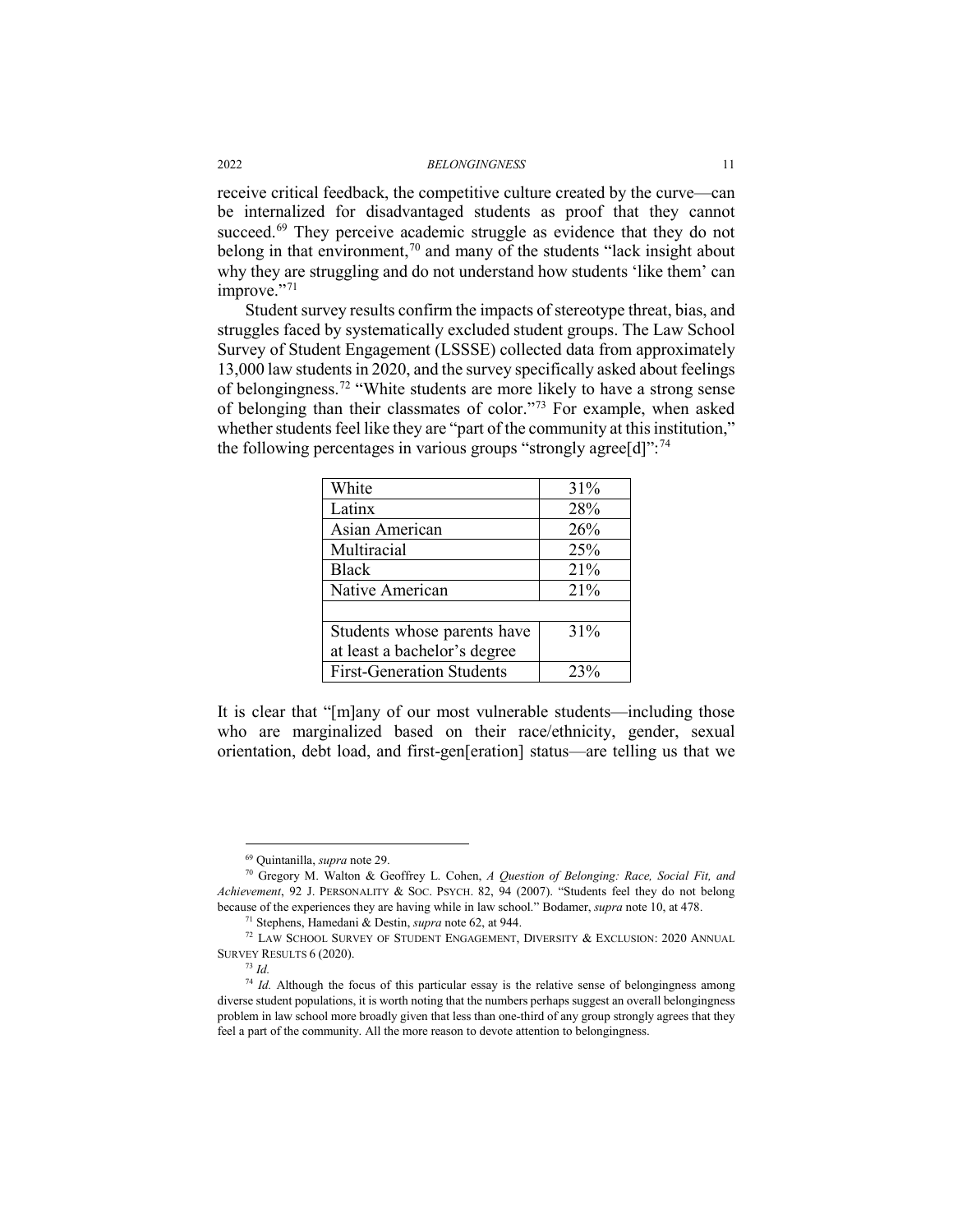<span id="page-10-7"></span>receive critical feedback, the competitive culture created by the curve—can be internalized for disadvantaged students as proof that they cannot succeed.<sup>[69](#page-10-0)</sup> They perceive academic struggle as evidence that they do not belong in that environment,<sup>[70](#page-10-1)</sup> and many of the students "lack insight about why they are struggling and do not understand how students 'like them' can improve."[71](#page-10-2)

Student survey results confirm the impacts of stereotype threat, bias, and struggles faced by systematically excluded student groups. The Law School Survey of Student Engagement (LSSSE) collected data from approximately 13,000 law students in 2020, and the survey specifically asked about feelings of belongingness.<sup>[72](#page-10-3)</sup> "White students are more likely to have a strong sense of belonging than their classmates of color."[73](#page-10-4) For example, when asked whether students feel like they are "part of the community at this institution," the following percentages in various groups "strongly agree[d]":<sup>[74](#page-10-5)</sup>

<span id="page-10-6"></span>

| White                            | 31% |
|----------------------------------|-----|
| Latinx                           | 28% |
| Asian American                   | 26% |
| Multiracial                      | 25% |
| <b>Black</b>                     | 21% |
| Native American                  | 21% |
|                                  |     |
| Students whose parents have      | 31% |
| at least a bachelor's degree     |     |
| <b>First-Generation Students</b> | 23% |

It is clear that "[m]any of our most vulnerable students—including those who are marginalized based on their race/ethnicity, gender, sexual orientation, debt load, and first-gen[eration] status—are telling us that we

 <sup>69</sup> Quintanilla, *supra* not[e 29.](#page-5-10)

<span id="page-10-1"></span><span id="page-10-0"></span><sup>70</sup> Gregory M. Walton & Geoffrey L. Cohen, *A Question of Belonging: Race, Social Fit, and Achievement*, 92 J. PERSONALITY & SOC. PSYCH. 82, 94 (2007). "Students feel they do not belong because of the experiences they are having while in law school." Bodamer, *supra* not[e 10,](#page-3-13) at 478.

<sup>71</sup> Stephens, Hamedani & Destin, *supra* not[e 62,](#page-9-9) at 944.

<span id="page-10-3"></span><span id="page-10-2"></span> $^{72}$  Law School Survey of Student Engagement, Diversity & Exclusion: 2020 Annual SURVEY RESULTS 6 (2020).

<sup>73</sup> *Id.*

<span id="page-10-5"></span><span id="page-10-4"></span><sup>74</sup> *Id.* Although the focus of this particular essay is the relative sense of belongingness among diverse student populations, it is worth noting that the numbers perhaps suggest an overall belongingness problem in law school more broadly given that less than one-third of any group strongly agrees that they feel a part of the community. All the more reason to devote attention to belongingness.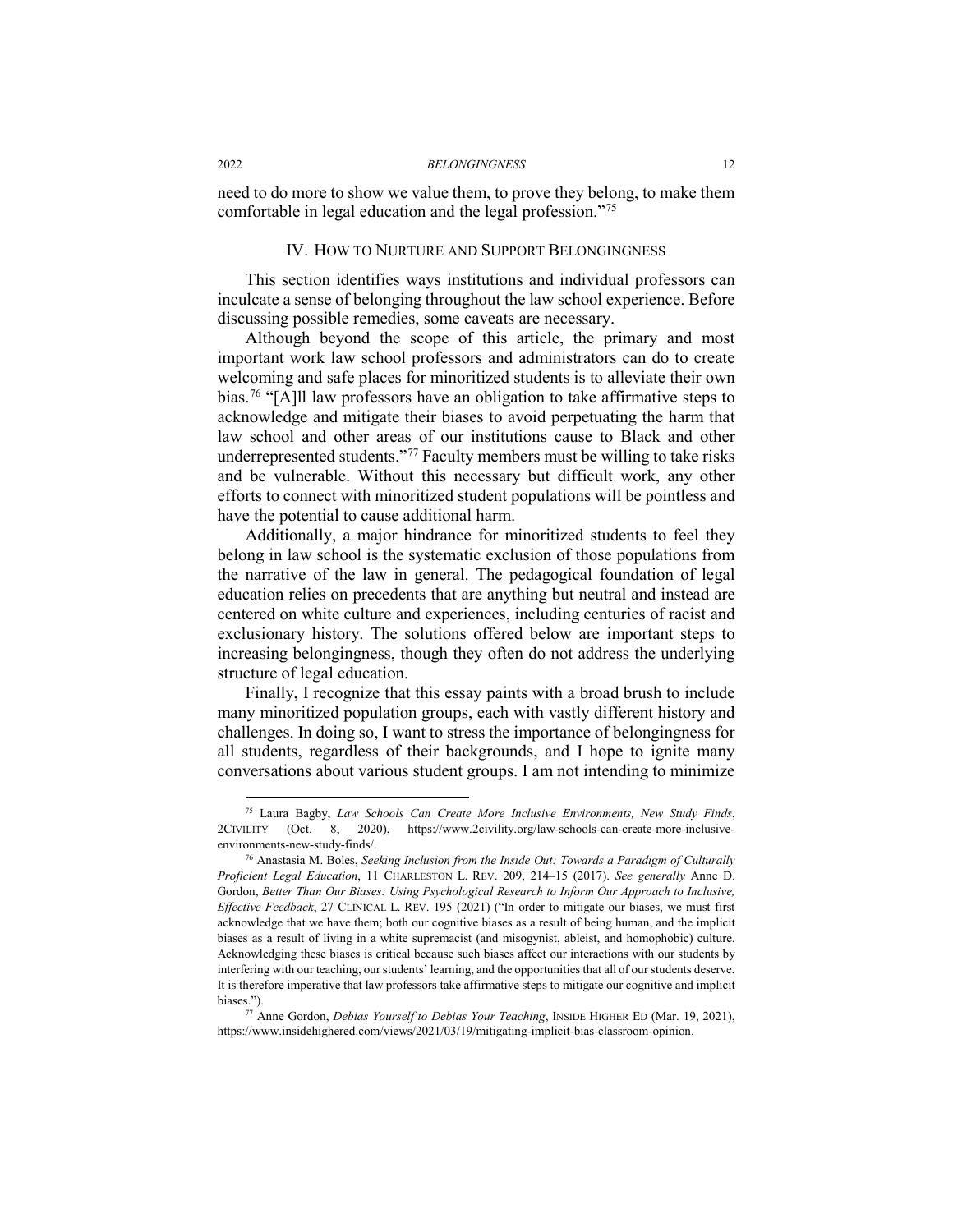need to do more to show we value them, to prove they belong, to make them comfortable in legal education and the legal profession."[75](#page-11-0)

#### IV. HOW TO NURTURE AND SUPPORT BELONGINGNESS

This section identifies ways institutions and individual professors can inculcate a sense of belonging throughout the law school experience. Before discussing possible remedies, some caveats are necessary.

Although beyond the scope of this article, the primary and most important work law school professors and administrators can do to create welcoming and safe places for minoritized students is to alleviate their own bias.[76](#page-11-1) "[A]ll law professors have an obligation to take affirmative steps to acknowledge and mitigate their biases to avoid perpetuating the harm that law school and other areas of our institutions cause to Black and other underrepresented students."[77](#page-11-2) Faculty members must be willing to take risks and be vulnerable. Without this necessary but difficult work, any other efforts to connect with minoritized student populations will be pointless and have the potential to cause additional harm.

Additionally, a major hindrance for minoritized students to feel they belong in law school is the systematic exclusion of those populations from the narrative of the law in general. The pedagogical foundation of legal education relies on precedents that are anything but neutral and instead are centered on white culture and experiences, including centuries of racist and exclusionary history. The solutions offered below are important steps to increasing belongingness, though they often do not address the underlying structure of legal education.

Finally, I recognize that this essay paints with a broad brush to include many minoritized population groups, each with vastly different history and challenges. In doing so, I want to stress the importance of belongingness for all students, regardless of their backgrounds, and I hope to ignite many conversations about various student groups. I am not intending to minimize

<span id="page-11-0"></span> <sup>75</sup> Laura Bagby, *Law Schools Can Create More Inclusive Environments, New Study Finds*, 2CIVILITY (Oct. 8, 2020), https://www.2civility.org/law-schools-can-create-more-inclusiveenvironments-new-study-finds/.

<span id="page-11-1"></span><sup>76</sup> Anastasia M. Boles, *Seeking Inclusion from the Inside Out: Towards a Paradigm of Culturally Proficient Legal Education*, 11 CHARLESTON L. REV. 209, 214–15 (2017). *See generally* Anne D. Gordon, *Better Than Our Biases: Using Psychological Research to Inform Our Approach to Inclusive, Effective Feedback*, 27 CLINICAL L. REV. 195 (2021) ("In order to mitigate our biases, we must first acknowledge that we have them; both our cognitive biases as a result of being human, and the implicit biases as a result of living in a white supremacist (and misogynist, ableist, and homophobic) culture. Acknowledging these biases is critical because such biases affect our interactions with our students by interfering with our teaching, our students' learning, and the opportunities that all of our students deserve. It is therefore imperative that law professors take affirmative steps to mitigate our cognitive and implicit biases.").

<span id="page-11-2"></span><sup>77</sup> Anne Gordon, *Debias Yourself to Debias Your Teaching*, INSIDE HIGHER ED (Mar. 19, 2021), https://www.insidehighered.com/views/2021/03/19/mitigating-implicit-bias-classroom-opinion.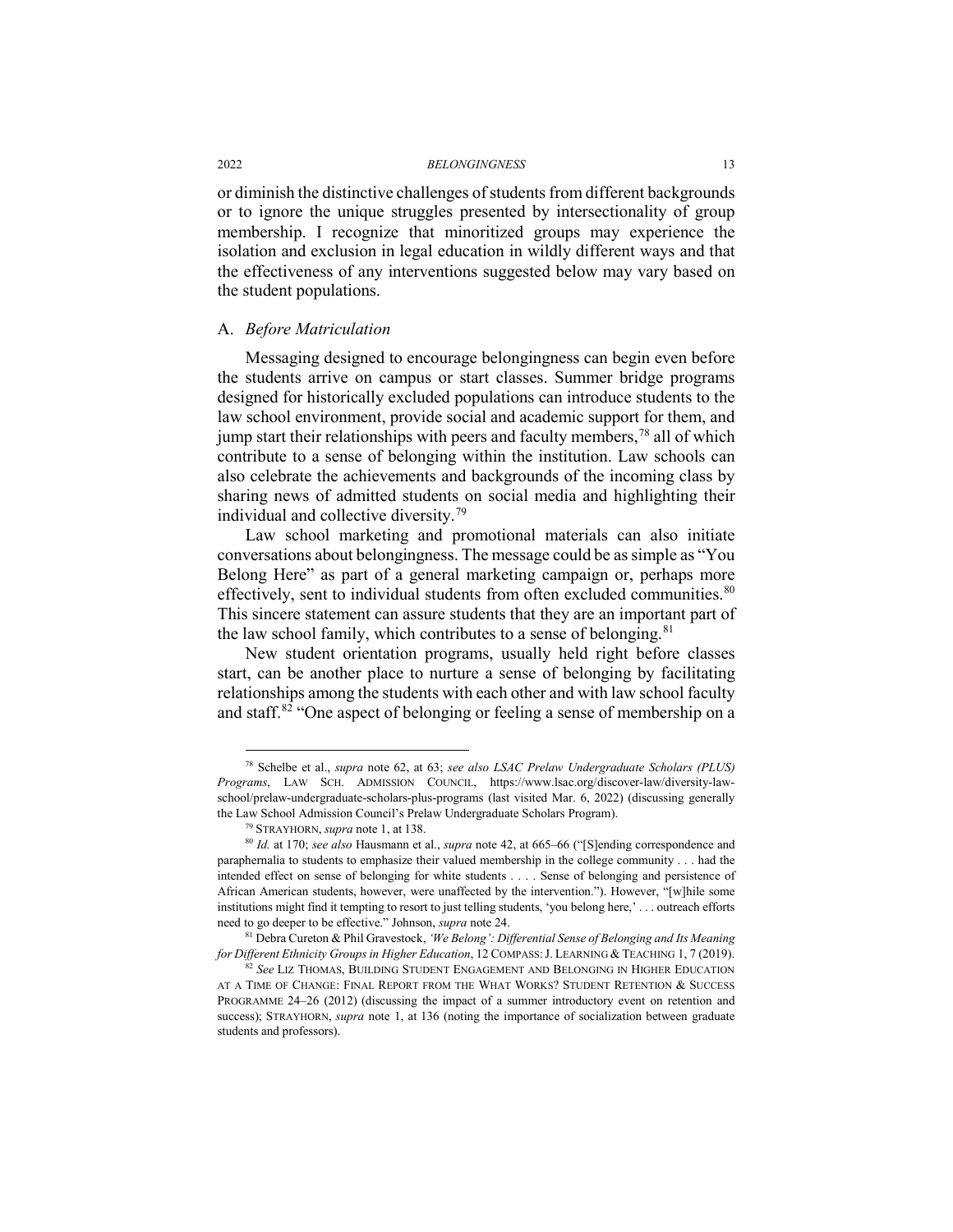or diminish the distinctive challenges of students from different backgrounds or to ignore the unique struggles presented by intersectionality of group membership. I recognize that minoritized groups may experience the isolation and exclusion in legal education in wildly different ways and that the effectiveness of any interventions suggested below may vary based on the student populations.

#### A. *Before Matriculation*

Messaging designed to encourage belongingness can begin even before the students arrive on campus or start classes. Summer bridge programs designed for historically excluded populations can introduce students to the law school environment, provide social and academic support for them, and jump start their relationships with peers and faculty members, $78$  all of which contribute to a sense of belonging within the institution. Law schools can also celebrate the achievements and backgrounds of the incoming class by sharing news of admitted students on social media and highlighting their individual and collective diversity.[79](#page-12-1)

Law school marketing and promotional materials can also initiate conversations about belongingness. The message could be as simple as "You Belong Here" as part of a general marketing campaign or, perhaps more effectively, sent to individual students from often excluded communities.<sup>80</sup> This sincere statement can assure students that they are an important part of the law school family, which contributes to a sense of belonging. $81$ 

<span id="page-12-5"></span>New student orientation programs, usually held right before classes start, can be another place to nurture a sense of belonging by facilitating relationships among the students with each other and with law school faculty and staff.[82](#page-12-4) "One aspect of belonging or feeling a sense of membership on a

<span id="page-12-0"></span> <sup>78</sup> Schelbe et al., *supra* note [62,](#page-9-9) at 63; *see also LSAC Prelaw Undergraduate Scholars (PLUS) Programs*, LAW SCH. ADMISSION COUNCIL, https://www.lsac.org/discover-law/diversity-lawschool/prelaw-undergraduate-scholars-plus-programs (last visited Mar. 6, 2022) (discussing generally the Law School Admission Council's Prelaw Undergraduate Scholars Program).

<sup>79</sup> STRAYHORN, *supra* not[e 1,](#page-2-2) at 138.

<span id="page-12-2"></span><span id="page-12-1"></span><sup>80</sup> *Id.* at 170; *see also* Hausmann et al., *supra* not[e 42,](#page-6-14) at 665–66 ("[S]ending correspondence and paraphernalia to students to emphasize their valued membership in the college community . . . had the intended effect on sense of belonging for white students . . . . Sense of belonging and persistence of African American students, however, were unaffected by the intervention."). However, "[w]hile some institutions might find it tempting to resort to just telling students, 'you belong here,' . . . outreach efforts need to go deeper to be effective." Johnson, *supra* note [24.](#page-5-9)

<span id="page-12-3"></span><sup>81</sup> Debra Cureton & Phil Gravestock, *'We Belong': Differential Sense of Belonging and Its Meaning for Different Ethnicity Groups in Higher Education*, 12 COMPASS: J. LEARNING & TEACHING 1, 7 (2019).<br><sup>82</sup> *See* LIZ THOMAS, BUILDING STUDENT ENGAGEMENT AND BELONGING IN HIGHER EDUCATION

<span id="page-12-4"></span>AT A TIME OF CHANGE: FINAL REPORT FROM THE WHAT WORKS? STUDENT RETENTION & SUCCESS PROGRAMME 24–26 (2012) (discussing the impact of a summer introductory event on retention and success); STRAYHORN, *supra* note [1,](#page-2-2) at 136 (noting the importance of socialization between graduate students and professors).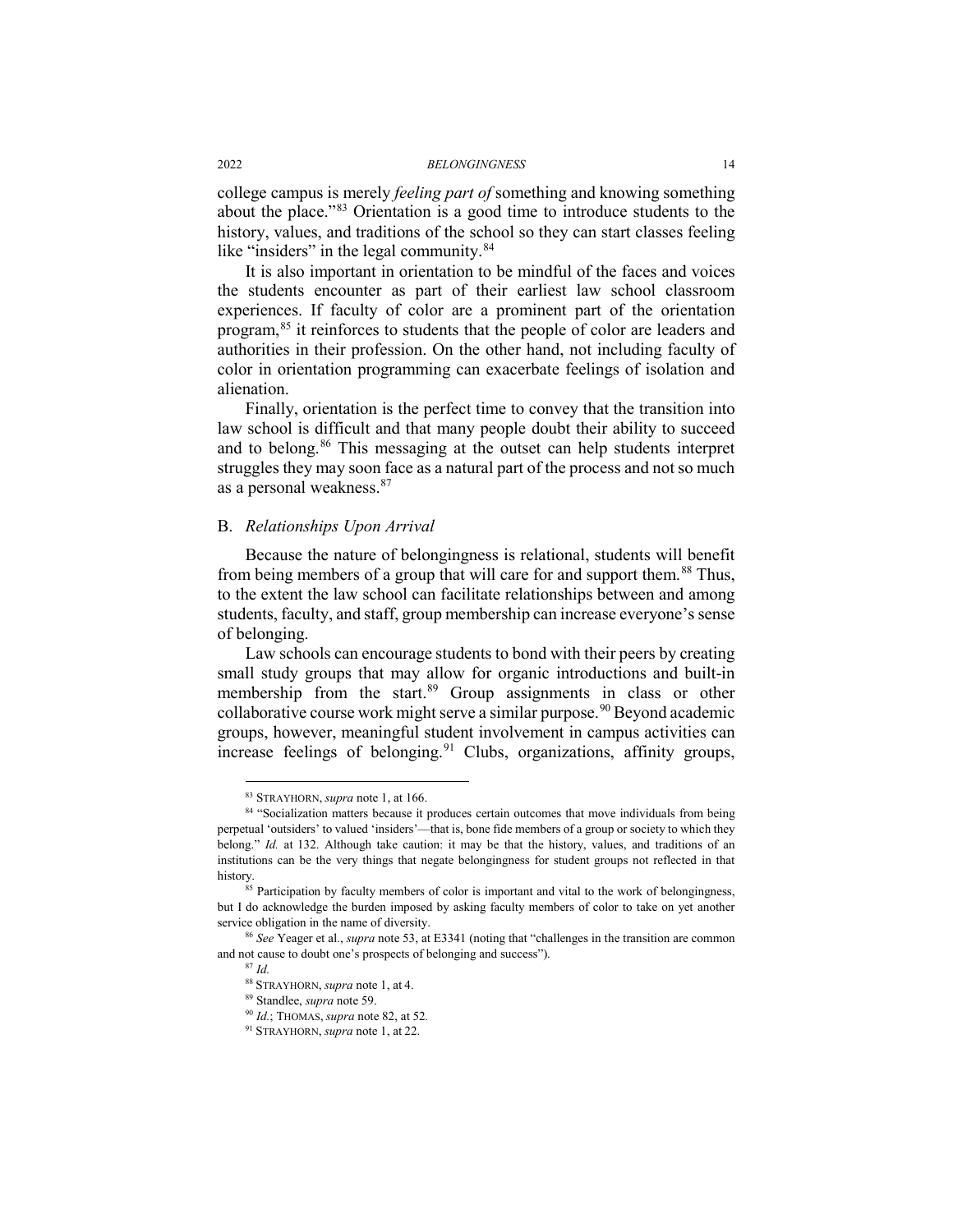college campus is merely *feeling part of* something and knowing something about the place."[83](#page-13-0) Orientation is a good time to introduce students to the history, values, and traditions of the school so they can start classes feeling like "insiders" in the legal community.<sup>[84](#page-13-1)</sup>

It is also important in orientation to be mindful of the faces and voices the students encounter as part of their earliest law school classroom experiences. If faculty of color are a prominent part of the orientation program,<sup>[85](#page-13-2)</sup> it reinforces to students that the people of color are leaders and authorities in their profession. On the other hand, not including faculty of color in orientation programming can exacerbate feelings of isolation and alienation.

Finally, orientation is the perfect time to convey that the transition into law school is difficult and that many people doubt their ability to succeed and to belong.<sup>[86](#page-13-3)</sup> This messaging at the outset can help students interpret struggles they may soon face as a natural part of the process and not so much as a personal weakness.[87](#page-13-4)

#### B. *Relationships Upon Arrival*

Because the nature of belongingness is relational, students will benefit from being members of a group that will care for and support them.<sup>[88](#page-13-5)</sup> Thus, to the extent the law school can facilitate relationships between and among students, faculty, and staff, group membership can increase everyone's sense of belonging.

Law schools can encourage students to bond with their peers by creating small study groups that may allow for organic introductions and built-in membership from the start.<sup>[89](#page-13-6)</sup> Group assignments in class or other collaborative course work might serve a similar purpose.<sup>90</sup> Beyond academic groups, however, meaningful student involvement in campus activities can increase feelings of belonging.<sup>[91](#page-13-8)</sup> Clubs, organizations, affinity groups,

 <sup>83</sup> STRAYHORN, *supra* not[e 1,](#page-2-2) at 166.

<span id="page-13-1"></span><span id="page-13-0"></span><sup>&</sup>lt;sup>84</sup> "Socialization matters because it produces certain outcomes that move individuals from being perpetual 'outsiders' to valued 'insiders'—that is, bone fide members of a group or society to which they belong." *Id.* at 132. Although take caution: it may be that the history, values, and traditions of an institutions can be the very things that negate belongingness for student groups not reflected in that history.

<span id="page-13-2"></span><sup>&</sup>lt;sup>85</sup> Participation by faculty members of color is important and vital to the work of belongingness, but I do acknowledge the burden imposed by asking faculty members of color to take on yet another service obligation in the name of diversity.

<span id="page-13-8"></span><span id="page-13-7"></span><span id="page-13-6"></span><span id="page-13-5"></span><span id="page-13-4"></span><span id="page-13-3"></span><sup>86</sup> *See* Yeager et al., *supra* note [53,](#page-8-13) at E3341 (noting that "challenges in the transition are common and not cause to doubt one's prospects of belonging and success").

<sup>87</sup> *Id.*

<sup>88</sup> STRAYHORN, *supra* not[e 1,](#page-2-2) at 4.

<sup>89</sup> Standlee, *supra* not[e 59.](#page-8-14)

<sup>90</sup> *Id.*; THOMAS, *supra* not[e 82,](#page-12-5) at 52*.*

<sup>91</sup> STRAYHORN, *supra* note 1, at 22.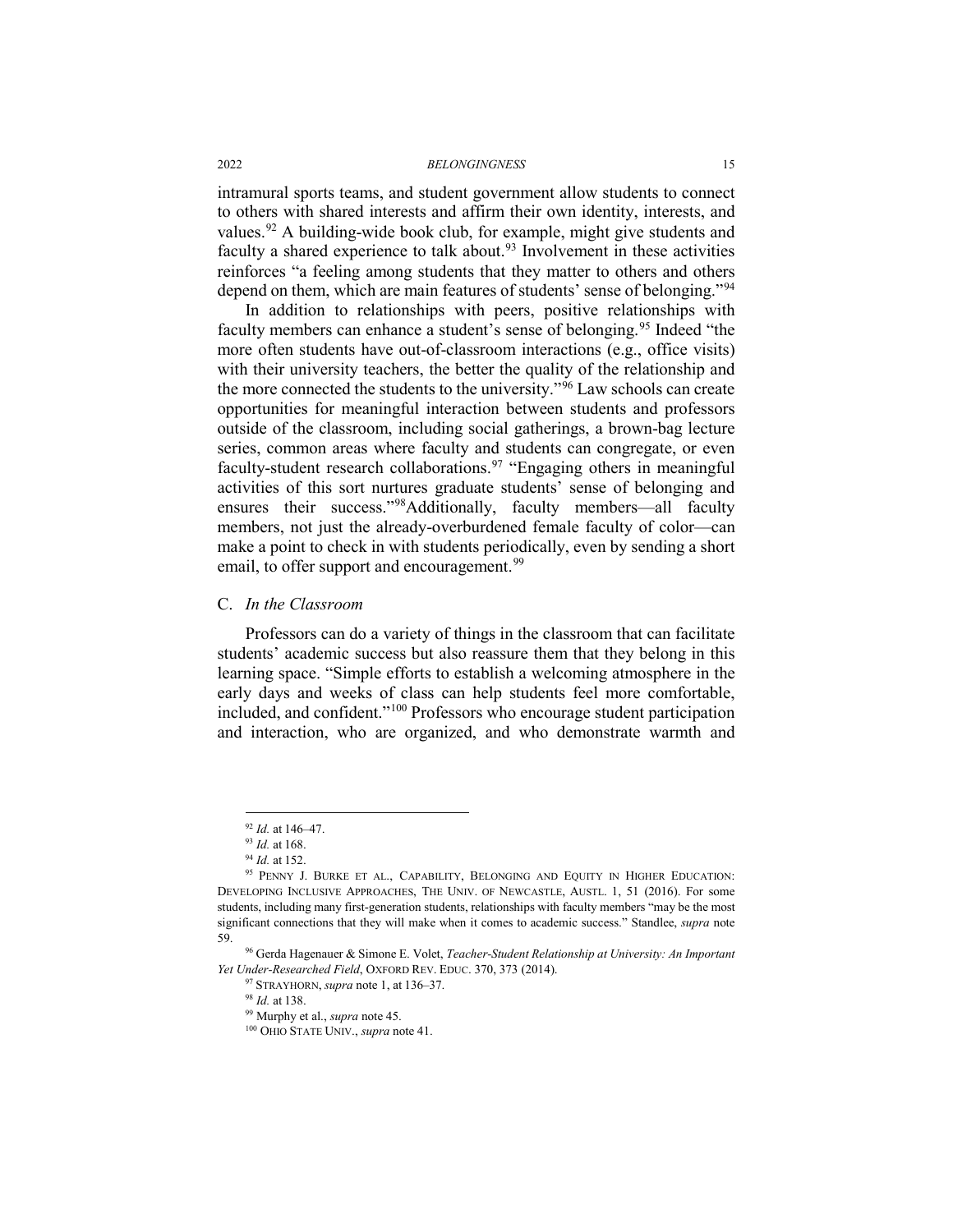intramural sports teams, and student government allow students to connect to others with shared interests and affirm their own identity, interests, and values.<sup>[92](#page-14-0)</sup> A building-wide book club, for example, might give students and faculty a shared experience to talk about. $93$  Involvement in these activities reinforces "a feeling among students that they matter to others and others depend on them, which are main features of students' sense of belonging."[94](#page-14-2)

In addition to relationships with peers, positive relationships with faculty members can enhance a student's sense of belonging.<sup>[95](#page-14-3)</sup> Indeed "the more often students have out-of-classroom interactions (e.g., office visits) with their university teachers, the better the quality of the relationship and the more connected the students to the university."[96](#page-14-4) Law schools can create opportunities for meaningful interaction between students and professors outside of the classroom, including social gatherings, a brown-bag lecture series, common areas where faculty and students can congregate, or even faculty-student research collaborations.<sup>[97](#page-14-5)</sup> "Engaging others in meaningful activities of this sort nurtures graduate students' sense of belonging and ensures their success."[98A](#page-14-6)dditionally, faculty members—all faculty members, not just the already-overburdened female faculty of color—can make a point to check in with students periodically, even by sending a short email, to offer support and encouragement.<sup>[99](#page-14-7)</sup>

#### C. *In the Classroom*

Professors can do a variety of things in the classroom that can facilitate students' academic success but also reassure them that they belong in this learning space. "Simple efforts to establish a welcoming atmosphere in the early days and weeks of class can help students feel more comfortable, included, and confident."[100](#page-14-8) Professors who encourage student participation and interaction, who are organized, and who demonstrate warmth and

 <sup>92</sup> *Id.* at 146–47.

<sup>93</sup> *Id.* at 168.

<sup>94</sup> *Id.* at 152.

<span id="page-14-3"></span><span id="page-14-2"></span><span id="page-14-1"></span><span id="page-14-0"></span><sup>95</sup> PENNY J. BURKE ET AL., CAPABILITY, BELONGING AND EQUITY IN HIGHER EDUCATION: DEVELOPING INCLUSIVE APPROACHES, THE UNIV. OF NEWCASTLE, AUSTL. 1, 51 (2016). For some students, including many first-generation students, relationships with faculty members "may be the most significant connections that they will make when it comes to academic success." Standlee, *supra* note [59.](#page-8-14)

<span id="page-14-8"></span><span id="page-14-7"></span><span id="page-14-6"></span><span id="page-14-5"></span><span id="page-14-4"></span><sup>96</sup> Gerda Hagenauer & Simone E. Volet, *Teacher-Student Relationship at University: An Important Yet Under-Researched Field*, OXFORD REV. EDUC. 370, 373 (2014).

<sup>97</sup> STRAYHORN, *supra* note 1, at 136–37.

<sup>&</sup>lt;sup>98</sup> *Id.* at 138.<br><sup>99</sup> Murphy et al., *supra* note 45.

<sup>&</sup>lt;sup>100</sup> OHIO STATE UNIV., *supra* not[e 41.](#page-6-13)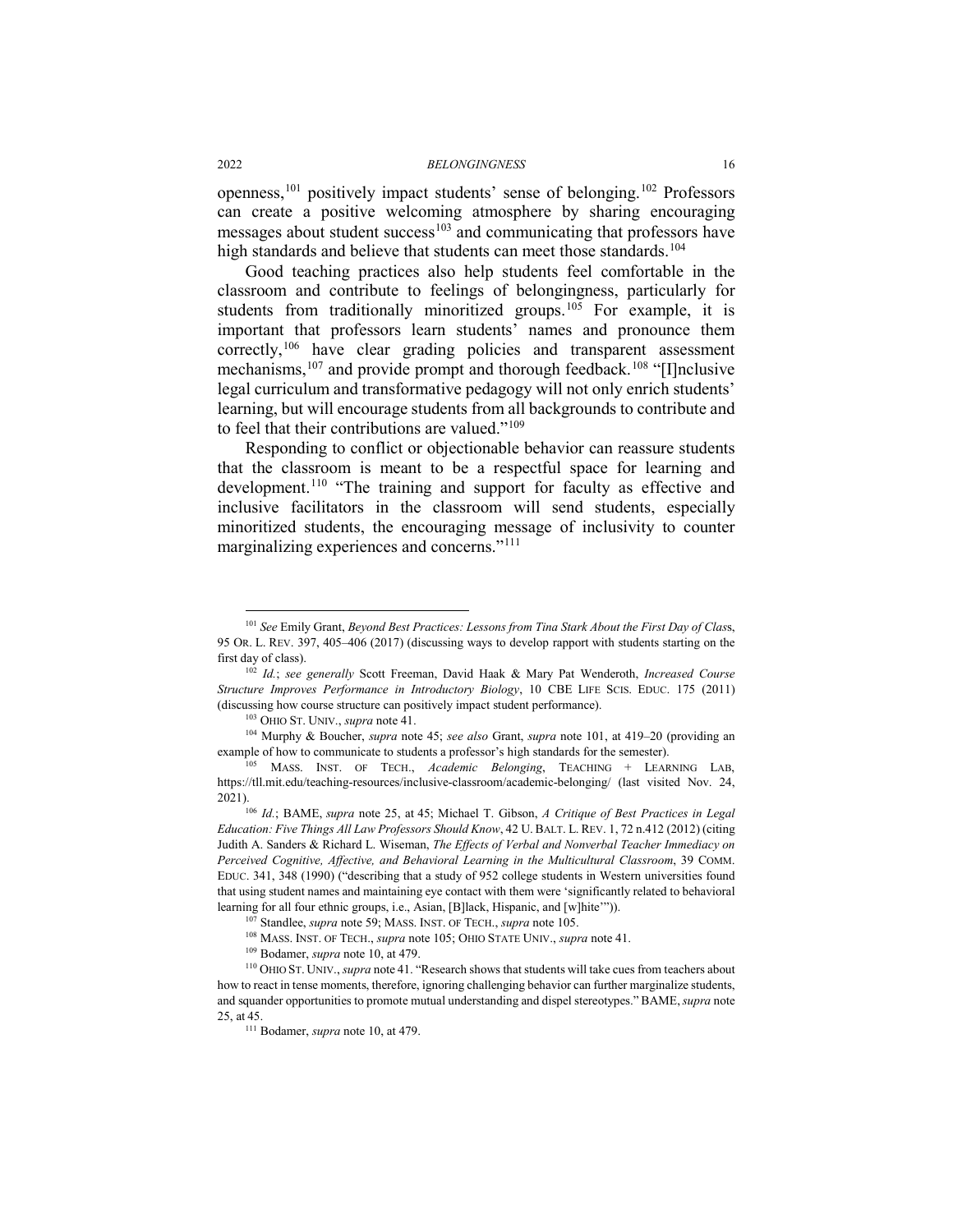<span id="page-15-0"></span>openness,<sup>[101](#page-15-2)</sup> positively impact students' sense of belonging.<sup>[102](#page-15-3)</sup> Professors can create a positive welcoming atmosphere by sharing encouraging messages about student success<sup>[103](#page-15-4)</sup> and communicating that professors have high standards and believe that students can meet those standards.<sup>[104](#page-15-5)</sup>

<span id="page-15-1"></span>Good teaching practices also help students feel comfortable in the classroom and contribute to feelings of belongingness, particularly for students from traditionally minoritized groups.<sup>[105](#page-15-6)</sup> For example, it is important that professors learn students' names and pronounce them correctly,<sup>[106](#page-15-7)</sup> have clear grading policies and transparent assessment mechanisms, <sup>[107](#page-15-8)</sup> and provide prompt and thorough feedback.<sup>[108](#page-15-9)</sup> "[I]nclusive legal curriculum and transformative pedagogy will not only enrich students' learning, but will encourage students from all backgrounds to contribute and to feel that their contributions are valued."<sup>[109](#page-15-10)</sup>

Responding to conflict or objectionable behavior can reassure students that the classroom is meant to be a respectful space for learning and development.<sup>[110](#page-15-11)</sup> "The training and support for faculty as effective and inclusive facilitators in the classroom will send students, especially minoritized students, the encouraging message of inclusivity to counter marginalizing experiences and concerns."<sup>[111](#page-15-12)</sup>

<span id="page-15-7"></span>2021). 106 *Id.*; BAME, *supra* note [25,](#page-5-11) at 45; Michael T. Gibson, *A Critique of Best Practices in Legal Education: Five Things All Law Professors Should Know*, 42 U. BALT. L. REV. 1, 72 n.412 (2012) (citing Judith A. Sanders & Richard L. Wiseman, *The Effects of Verbal and Nonverbal Teacher Immediacy on Perceived Cognitive, Affective, and Behavioral Learning in the Multicultural Classroom*, 39 COMM. EDUC. 341, 348 (1990) ("describing that a study of 952 college students in Western universities found that using student names and maintaining eye contact with them were 'significantly related to behavioral learning for all four ethnic groups, i.e., Asian, [B]lack, Hispanic, and [w]hite'")).

<span id="page-15-2"></span> <sup>101</sup> *See* Emily Grant, *Beyond Best Practices: Lessons from Tina Stark About the First Day of Clas*s, 95 OR. L. REV. 397, 405–406 (2017) (discussing ways to develop rapport with students starting on the first day of class).

<span id="page-15-3"></span><sup>102</sup> *Id.*; *see generally* Scott Freeman, David Haak & Mary Pat Wenderoth, *Increased Course Structure Improves Performance in Introductory Biology*, 10 CBE LIFE SCIS. EDUC. 175 (2011) (discussing how course structure can positively impact student performance). 103 OHIO ST. UNIV., *supra* not[e 41.](#page-6-13)

<span id="page-15-5"></span><span id="page-15-4"></span><sup>104</sup> Murphy & Boucher, *supra* note [45;](#page-7-5) *see also* Grant, *supra* not[e 101,](#page-15-0) at 419–20 (providing an example of how to communicate to students a professor's high standards for the semester).

<span id="page-15-6"></span><sup>105</sup> MASS. INST. OF TECH., *Academic Belonging*, TEACHING + LEARNING LAB, https://tll.mit.edu/teaching-resources/inclusive-classroom/academic-belonging/ (last visited Nov. 24,

<sup>107</sup> Standlee, *supra* not[e 59;](#page-8-14) MASS. INST. OF TECH., *supra* not[e 105.](#page-15-1)

<sup>108</sup> MASS. INST. OF TECH., *supra* not[e 105;](#page-15-1) OHIO STATE UNIV., *supra* not[e 41.](#page-6-13)

<sup>109</sup> Bodamer, *supra* not[e 10,](#page-3-13) at 479.

<span id="page-15-12"></span><span id="page-15-11"></span><span id="page-15-10"></span><span id="page-15-9"></span><span id="page-15-8"></span><sup>110</sup> OHIO ST. UNIV., *supra* not[e 41.](#page-6-13) "Research shows that students will take cues from teachers about how to react in tense moments, therefore, ignoring challenging behavior can further marginalize students, and squander opportunities to promote mutual understanding and dispel stereotypes." BAME,*supra* note [25,](#page-5-11) at 45.

<sup>111</sup> Bodamer, *supra* not[e 10,](#page-3-13) at 479.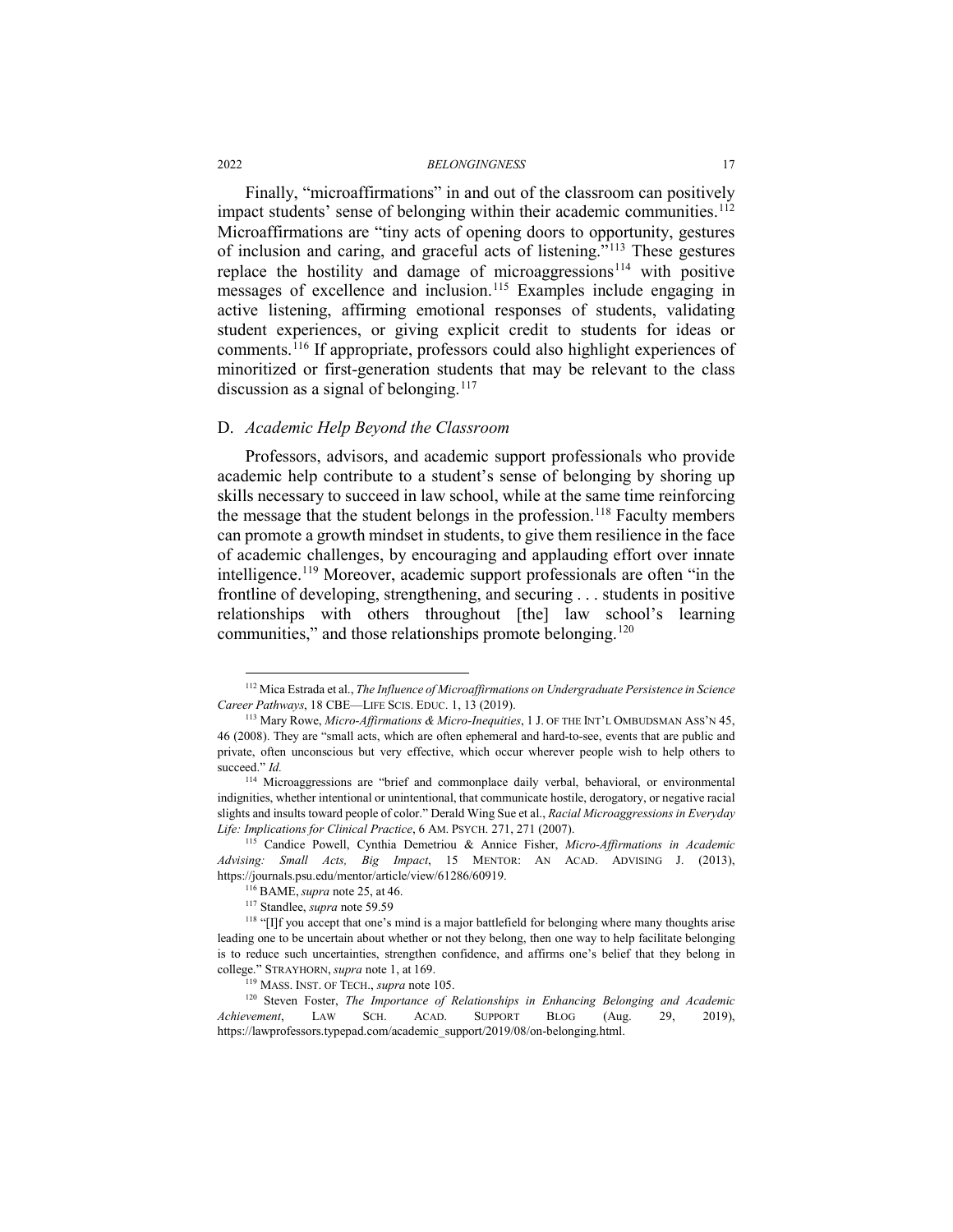Finally, "microaffirmations" in and out of the classroom can positively impact students' sense of belonging within their academic communities.<sup>[112](#page-16-0)</sup> Microaffirmations are "tiny acts of opening doors to opportunity, gestures of inclusion and caring, and graceful acts of listening."[113](#page-16-1) These gestures replace the hostility and damage of microaggressions<sup>[114](#page-16-2)</sup> with positive messages of excellence and inclusion.<sup>[115](#page-16-3)</sup> Examples include engaging in active listening, affirming emotional responses of students, validating student experiences, or giving explicit credit to students for ideas or comments.[116](#page-16-4) If appropriate, professors could also highlight experiences of minoritized or first-generation students that may be relevant to the class discussion as a signal of belonging.<sup>[117](#page-16-5)</sup>

#### D. *Academic Help Beyond the Classroom*

Professors, advisors, and academic support professionals who provide academic help contribute to a student's sense of belonging by shoring up skills necessary to succeed in law school, while at the same time reinforcing the message that the student belongs in the profession.<sup>[118](#page-16-6)</sup> Faculty members can promote a growth mindset in students, to give them resilience in the face of academic challenges, by encouraging and applauding effort over innate intelligence.[119](#page-16-7) Moreover, academic support professionals are often "in the frontline of developing, strengthening, and securing . . . students in positive relationships with others throughout [the] law school's learning communities," and those relationships promote belonging.<sup>[120](#page-16-8)</sup>

<span id="page-16-0"></span> <sup>112</sup> Mica Estrada et al., *The Influence of Microaffirmations on Undergraduate Persistence in Science Career Pathways*, 18 CBE—LIFE SCIS. EDUC. 1, 13 (2019).<br><sup>113</sup> Mary Rowe, *Micro-Affirmations & Micro-Inequities*, 1 J. OF THE INT'L OMBUDSMAN ASS'N 45,

<span id="page-16-1"></span><sup>46 (2008).</sup> They are "small acts, which are often ephemeral and hard-to-see, events that are public and private, often unconscious but very effective, which occur wherever people wish to help others to succeed." *Id.*

<span id="page-16-2"></span><sup>114</sup> Microaggressions are "brief and commonplace daily verbal, behavioral, or environmental indignities, whether intentional or unintentional, that communicate hostile, derogatory, or negative racial slights and insults toward people of color." Derald Wing Sue et al., *Racial Microaggressions in Everyday Life: Implications for Clinical Practice*, 6 AM. PSYCH. 271, 271 (2007). 115 Candice Powell, Cynthia Demetriou & Annice Fisher, *Micro-Affirmations in Academic* 

<span id="page-16-3"></span>*Advising: Small Acts, Big Impact*, 15 MENTOR: AN ACAD. ADVISING J. (2013), https://journals.psu.edu/mentor/article/view/61286/60919.

<sup>116</sup> BAME, *supra* not[e 25,](#page-5-11) at 46.

<sup>117</sup> Standlee, *supra* not[e 59.59](#page-8-14)

<span id="page-16-6"></span><span id="page-16-5"></span><span id="page-16-4"></span><sup>&</sup>lt;sup>118</sup> "[I]f you accept that one's mind is a major battlefield for belonging where many thoughts arise leading one to be uncertain about whether or not they belong, then one way to help facilitate belonging is to reduce such uncertainties, strengthen confidence, and affirms one's belief that they belong in college." STRAYHORN, *supra* not[e 1,](#page-2-2) at 169.

<sup>119</sup> MASS. INST. OF TECH., *supra* not[e 105.](#page-15-1)

<span id="page-16-8"></span><span id="page-16-7"></span><sup>120</sup> Steven Foster, *The Importance of Relationships in Enhancing Belonging and Academic Achievement*, LAW SCH. ACAD. SUPPORT BLOG (Aug. 29, 2019), https://lawprofessors.typepad.com/academic\_support/2019/08/on-belonging.html.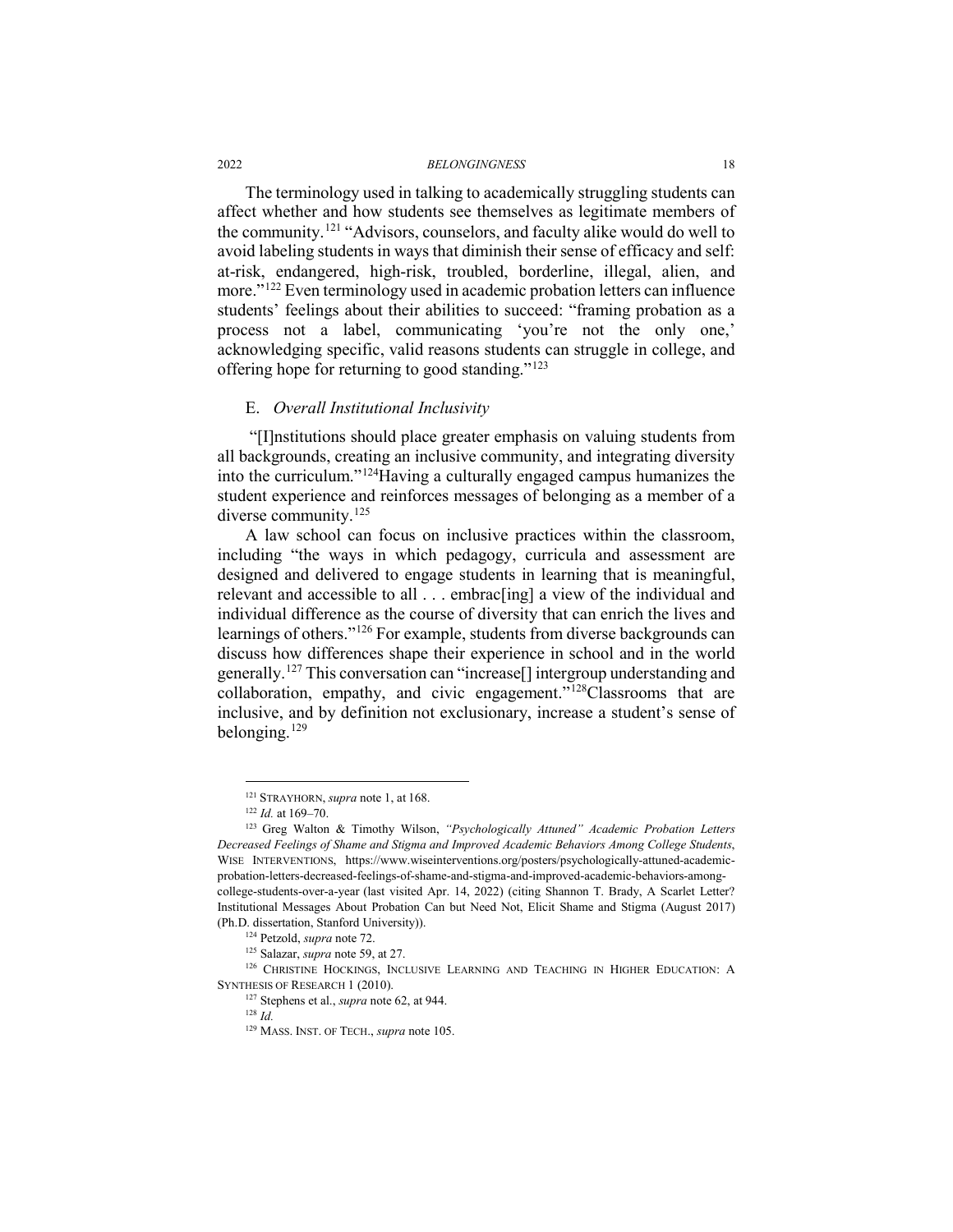The terminology used in talking to academically struggling students can affect whether and how students see themselves as legitimate members of the community.[121](#page-17-0) "Advisors, counselors, and faculty alike would do well to avoid labeling students in ways that diminish their sense of efficacy and self: at-risk, endangered, high-risk, troubled, borderline, illegal, alien, and more."[122](#page-17-1) Even terminology used in academic probation letters can influence students' feelings about their abilities to succeed: "framing probation as a process not a label, communicating 'you're not the only one,' acknowledging specific, valid reasons students can struggle in college, and offering hope for returning to good standing."[123](#page-17-2)

#### E. *Overall Institutional Inclusivity*

"[I]nstitutions should place greater emphasis on valuing students from all backgrounds, creating an inclusive community, and integrating diversity into the curriculum."[124](#page-17-3)Having a culturally engaged campus humanizes the student experience and reinforces messages of belonging as a member of a diverse community.<sup>[125](#page-17-4)</sup>

A law school can focus on inclusive practices within the classroom, including "the ways in which pedagogy, curricula and assessment are designed and delivered to engage students in learning that is meaningful, relevant and accessible to all . . . embrac[ing] a view of the individual and individual difference as the course of diversity that can enrich the lives and learnings of others."<sup>[126](#page-17-5)</sup> For example, students from diverse backgrounds can discuss how differences shape their experience in school and in the world generally.[127](#page-17-6) This conversation can "increase[] intergroup understanding and collaboration, empathy, and civic engagement."[128](#page-17-7)Classrooms that are inclusive, and by definition not exclusionary, increase a student's sense of belonging.[129](#page-17-8)

 <sup>121</sup> STRAYHORN, *supra* not[e 1,](#page-2-2) at 168.

<sup>122</sup> *Id.* at 169–70.

<span id="page-17-2"></span><span id="page-17-1"></span><span id="page-17-0"></span><sup>123</sup> Greg Walton & Timothy Wilson, *"Psychologically Attuned" Academic Probation Letters Decreased Feelings of Shame and Stigma and Improved Academic Behaviors Among College Students*, WISE INTERVENTIONS, https://www.wiseinterventions.org/posters/psychologically-attuned-academicprobation-letters-decreased-feelings-of-shame-and-stigma-and-improved-academic-behaviors-amongcollege-students-over-a-year (last visited Apr. 14, 2022) (citing Shannon T. Brady, A Scarlet Letter? Institutional Messages About Probation Can but Need Not, Elicit Shame and Stigma (August 2017) (Ph.D. dissertation, Stanford University)). 124 Petzold, *supra* not[e 72.](#page-10-6)

<span id="page-17-8"></span><span id="page-17-7"></span><span id="page-17-6"></span><span id="page-17-5"></span><span id="page-17-4"></span><span id="page-17-3"></span><sup>&</sup>lt;sup>126</sup> CHRISTINE HOCKINGS, INCLUSIVE LEARNING AND TEACHING IN HIGHER EDUCATION: A SYNTHESIS OF RESEARCH 1 (2010).

<sup>127</sup> Stephens et al., *supra* not[e 62,](#page-9-9) at 944.

<sup>128</sup> *Id.*

<sup>129</sup> MASS. INST. OF TECH., *supra* not[e 105.](#page-15-1)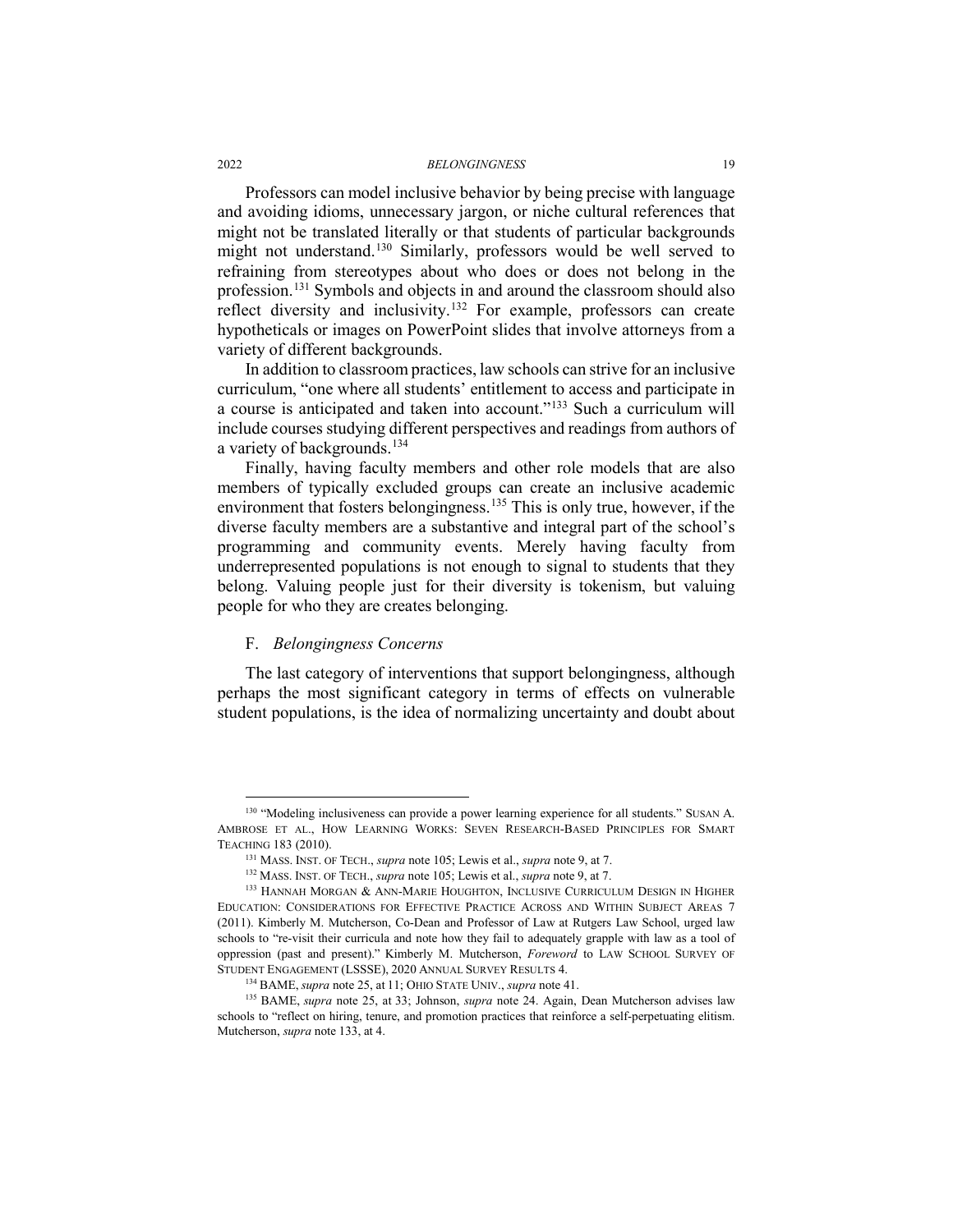Professors can model inclusive behavior by being precise with language and avoiding idioms, unnecessary jargon, or niche cultural references that might not be translated literally or that students of particular backgrounds might not understand.<sup>[130](#page-18-1)</sup> Similarly, professors would be well served to refraining from stereotypes about who does or does not belong in the profession.[131](#page-18-2) Symbols and objects in and around the classroom should also reflect diversity and inclusivity.<sup>[132](#page-18-3)</sup> For example, professors can create hypotheticals or images on PowerPoint slides that involve attorneys from a variety of different backgrounds.

<span id="page-18-0"></span>In addition to classroom practices, law schools can strive for an inclusive curriculum, "one where all students' entitlement to access and participate in a course is anticipated and taken into account.["133](#page-18-4) Such a curriculum will include courses studying different perspectives and readings from authors of a variety of backgrounds.<sup>[134](#page-18-5)</sup>

Finally, having faculty members and other role models that are also members of typically excluded groups can create an inclusive academic environment that fosters belongingness.<sup>135</sup> This is only true, however, if the diverse faculty members are a substantive and integral part of the school's programming and community events. Merely having faculty from underrepresented populations is not enough to signal to students that they belong. Valuing people just for their diversity is tokenism, but valuing people for who they are creates belonging.

#### F. *Belongingness Concerns*

The last category of interventions that support belongingness, although perhaps the most significant category in terms of effects on vulnerable student populations, is the idea of normalizing uncertainty and doubt about

<span id="page-18-1"></span><sup>130 &</sup>quot;Modeling inclusiveness can provide a power learning experience for all students." SUSAN A. AMBROSE ET AL., HOW LEARNING WORKS: SEVEN RESEARCH-BASED PRINCIPLES FOR SMART TEACHING 183 (2010).

<sup>131</sup> MASS. INST. OF TECH., *supra* not[e 105;](#page-15-1) Lewis et al., *supra* not[e 9,](#page-3-14) at 7.

<sup>132</sup> MASS. INST. OF TECH., *supra* not[e 105;](#page-15-1) Lewis et al., *supra* not[e 9,](#page-3-14) at 7.

<span id="page-18-4"></span><span id="page-18-3"></span><span id="page-18-2"></span><sup>&</sup>lt;sup>133</sup> HANNAH MORGAN & ANN-MARIE HOUGHTON, INCLUSIVE CURRICULUM DESIGN IN HIGHER EDUCATION: CONSIDERATIONS FOR EFFECTIVE PRACTICE ACROSS AND WITHIN SUBJECT AREAS 7 (2011). Kimberly M. Mutcherson, Co-Dean and Professor of Law at Rutgers Law School, urged law schools to "re-visit their curricula and note how they fail to adequately grapple with law as a tool of oppression (past and present)." Kimberly M. Mutcherson, *Foreword* to LAW SCHOOL SURVEY OF STUDENT ENGAGEMENT (LSSSE), 2020 ANNUAL SURVEY RESULTS 4.

<sup>134</sup> BAME, *supra* not[e 25,](#page-5-11) at 11; OHIO STATE UNIV., *supra* not[e 41.](#page-6-13)

<span id="page-18-6"></span><span id="page-18-5"></span><sup>135</sup> BAME, *supra* note [25,](#page-5-11) at 33; Johnson, *supra* note [24.](#page-5-9) Again, Dean Mutcherson advises law schools to "reflect on hiring, tenure, and promotion practices that reinforce a self-perpetuating elitism. Mutcherson, *supra* not[e 133,](#page-18-0) at 4.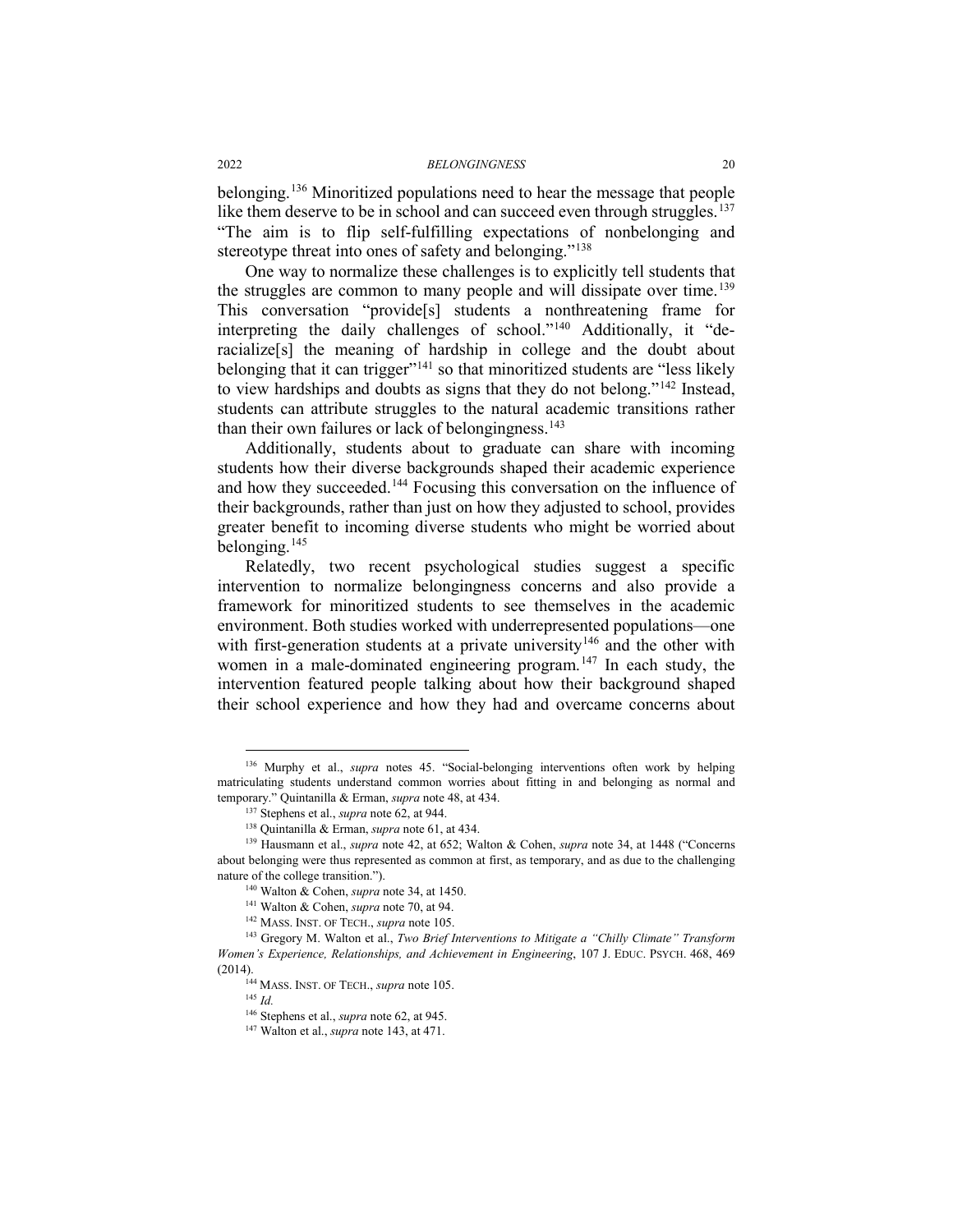belonging.[136](#page-19-1) Minoritized populations need to hear the message that people like them deserve to be in school and can succeed even through struggles.<sup>[137](#page-19-2)</sup> "The aim is to flip self-fulfilling expectations of nonbelonging and stereotype threat into ones of safety and belonging."<sup>[138](#page-19-3)</sup>

One way to normalize these challenges is to explicitly tell students that the struggles are common to many people and will dissipate over time.<sup>[139](#page-19-4)</sup> This conversation "provide[s] students a nonthreatening frame for interpreting the daily challenges of school."[140](#page-19-5) Additionally, it "deracialize[s] the meaning of hardship in college and the doubt about belonging that it can trigger"<sup>[141](#page-19-6)</sup> so that minoritized students are "less likely to view hardships and doubts as signs that they do not belong."[142](#page-19-7) Instead, students can attribute struggles to the natural academic transitions rather than their own failures or lack of belongingness. $143$ 

<span id="page-19-0"></span>Additionally, students about to graduate can share with incoming students how their diverse backgrounds shaped their academic experience and how they succeeded.<sup>[144](#page-19-9)</sup> Focusing this conversation on the influence of their backgrounds, rather than just on how they adjusted to school, provides greater benefit to incoming diverse students who might be worried about belonging.[145](#page-19-10)

Relatedly, two recent psychological studies suggest a specific intervention to normalize belongingness concerns and also provide a framework for minoritized students to see themselves in the academic environment. Both studies worked with underrepresented populations—one with first-generation students at a private university<sup>[146](#page-19-11)</sup> and the other with women in a male-dominated engineering program.[147](#page-19-12) In each study, the intervention featured people talking about how their background shaped their school experience and how they had and overcame concerns about

<sup>145</sup> *Id.*

<span id="page-19-1"></span> <sup>136</sup> Murphy et al., *supra* notes [45.](#page-7-5) "Social-belonging interventions often work by helping matriculating students understand common worries about fitting in and belonging as normal and temporary." Quintanilla & Erman, *supra* note [48,](#page-8-12) at 434.

<sup>137</sup> Stephens et al., *supra* not[e 62,](#page-9-9) at 944.

<sup>138</sup> Quintanilla & Erman, *supra* not[e 61,](#page-9-10) at 434.

<span id="page-19-5"></span><span id="page-19-4"></span><span id="page-19-3"></span><span id="page-19-2"></span><sup>139</sup> Hausmann et al., *supra* note [42,](#page-6-14) at 652; Walton & Cohen, *supra* not[e 34,](#page-6-0) at 1448 ("Concerns about belonging were thus represented as common at first, as temporary, and as due to the challenging nature of the college transition.").

<sup>140</sup> Walton & Cohen, *supra* not[e 34,](#page-6-0) at 1450.

<sup>141</sup> Walton & Cohen, *supra* not[e 70,](#page-10-7) at 94.

<sup>142</sup> MASS. INST. OF TECH., *supra* not[e 105.](#page-15-1)

<span id="page-19-12"></span><span id="page-19-11"></span><span id="page-19-10"></span><span id="page-19-9"></span><span id="page-19-8"></span><span id="page-19-7"></span><span id="page-19-6"></span><sup>143</sup> Gregory M. Walton et al., *Two Brief Interventions to Mitigate a "Chilly Climate" Transform Women's Experience, Relationships, and Achievement in Engineering*, 107 J. EDUC. PSYCH. 468, 469 (2014). 144 MASS. INST. OF TECH., *supra* not[e 105.](#page-15-1)

<sup>146</sup> Stephens et al., *supra* not[e 62,](#page-9-9) at 945.

<sup>147</sup> Walton et al., *supra* not[e 143,](#page-19-0) at 471.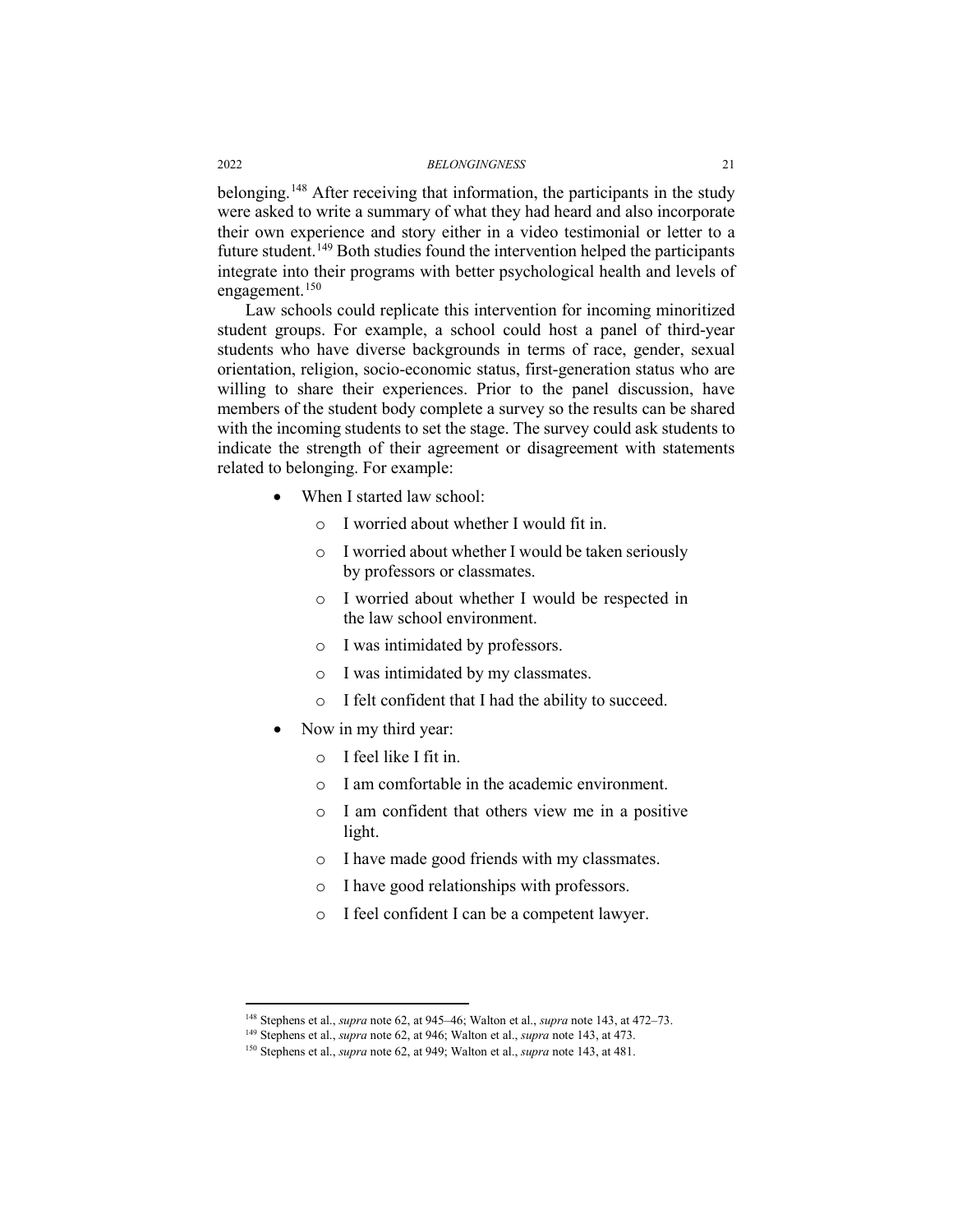belonging.<sup>[148](#page-20-0)</sup> After receiving that information, the participants in the study were asked to write a summary of what they had heard and also incorporate their own experience and story either in a video testimonial or letter to a future student.[149](#page-20-1) Both studies found the intervention helped the participants integrate into their programs with better psychological health and levels of engagement.[150](#page-20-2)

Law schools could replicate this intervention for incoming minoritized student groups. For example, a school could host a panel of third-year students who have diverse backgrounds in terms of race, gender, sexual orientation, religion, socio-economic status, first-generation status who are willing to share their experiences. Prior to the panel discussion, have members of the student body complete a survey so the results can be shared with the incoming students to set the stage. The survey could ask students to indicate the strength of their agreement or disagreement with statements related to belonging. For example:

- When I started law school:
	- o I worried about whether I would fit in.
	- o I worried about whether I would be taken seriously by professors or classmates.
	- o I worried about whether I would be respected in the law school environment.
	- o I was intimidated by professors.
	- o I was intimidated by my classmates.
	- o I felt confident that I had the ability to succeed.
- Now in my third year:
	- o I feel like I fit in.
	- o I am comfortable in the academic environment.
	- o I am confident that others view me in a positive light.
	- o I have made good friends with my classmates.
	- o I have good relationships with professors.
	- o I feel confident I can be a competent lawyer.

<span id="page-20-0"></span> <sup>148</sup> Stephens et al., *supra* not[e 62,](#page-9-9) at 945–46; Walton et al., *supra* not[e 143,](#page-19-0) at 472–73.

<span id="page-20-1"></span><sup>149</sup> Stephens et al., *supra* not[e 62,](#page-9-9) at 946; Walton et al., *supra* not[e 143,](#page-19-0) at 473.

<span id="page-20-2"></span><sup>150</sup> Stephens et al., *supra* not[e 62,](#page-9-9) at 949; Walton et al., *supra* not[e 143,](#page-19-0) at 481.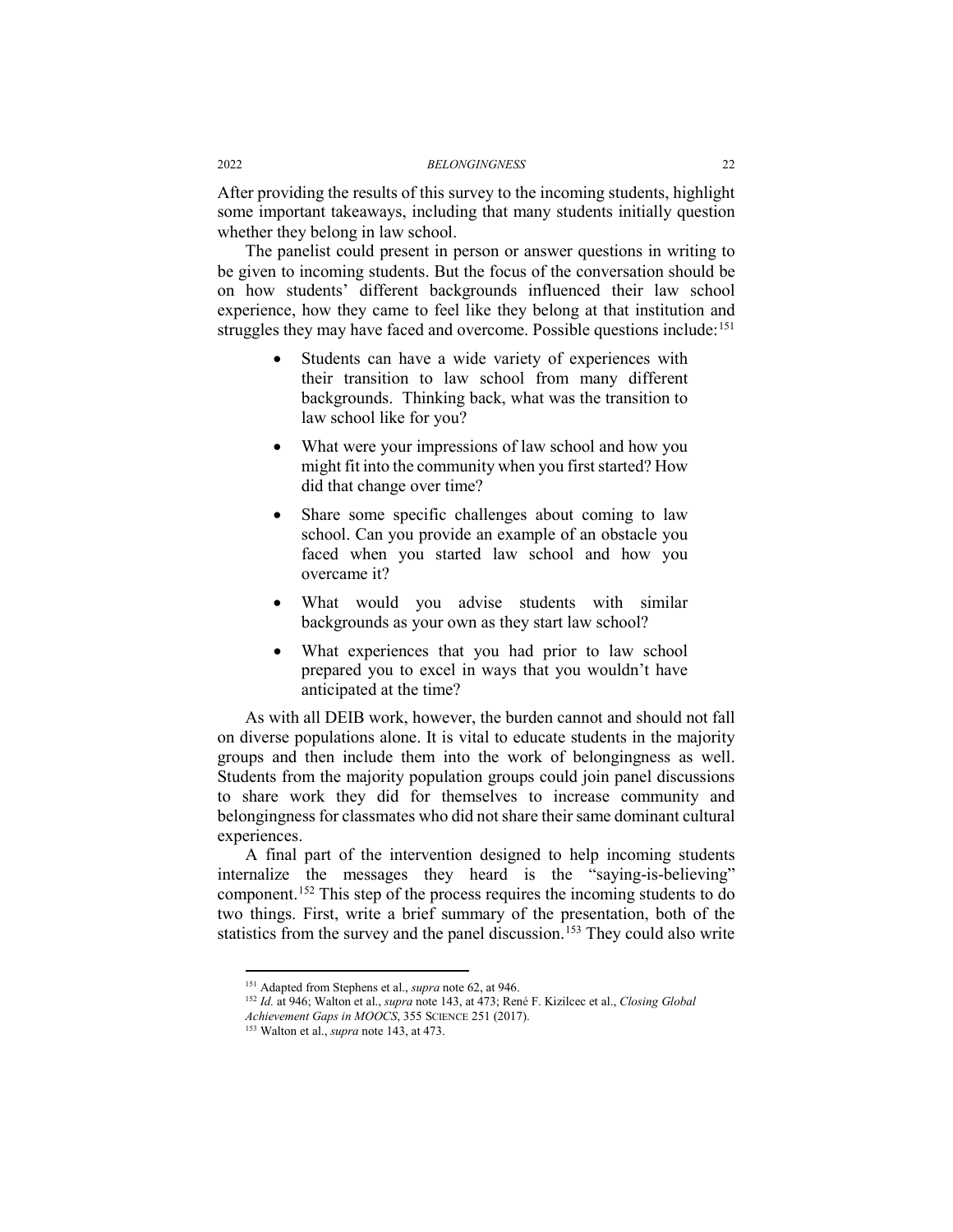After providing the results of this survey to the incoming students, highlight some important takeaways, including that many students initially question whether they belong in law school.

The panelist could present in person or answer questions in writing to be given to incoming students. But the focus of the conversation should be on how students' different backgrounds influenced their law school experience, how they came to feel like they belong at that institution and struggles they may have faced and overcome. Possible questions include:<sup>[151](#page-21-0)</sup>

- Students can have a wide variety of experiences with their transition to law school from many different backgrounds. Thinking back, what was the transition to law school like for you?
- What were your impressions of law school and how you might fit into the community when you first started? How did that change over time?
- Share some specific challenges about coming to law school. Can you provide an example of an obstacle you faced when you started law school and how you overcame it?
- What would you advise students with similar backgrounds as your own as they start law school?
- What experiences that you had prior to law school prepared you to excel in ways that you wouldn't have anticipated at the time?

As with all DEIB work, however, the burden cannot and should not fall on diverse populations alone. It is vital to educate students in the majority groups and then include them into the work of belongingness as well. Students from the majority population groups could join panel discussions to share work they did for themselves to increase community and belongingness for classmates who did not share their same dominant cultural experiences.

A final part of the intervention designed to help incoming students internalize the messages they heard is the "saying-is-believing" component.[152](#page-21-1) This step of the process requires the incoming students to do two things. First, write a brief summary of the presentation, both of the statistics from the survey and the panel discussion.<sup>[153](#page-21-2)</sup> They could also write

<span id="page-21-0"></span> <sup>151</sup> Adapted from Stephens et al., *supra* not[e 62,](#page-9-9) at 946.

<span id="page-21-1"></span><sup>152</sup> *Id.* at 946; Walton et al., *supra* not[e 143,](#page-19-0) at 473; René F. Kizilcec et al., *Closing Global* 

*Achievement Gaps in MOOCS*, 355 SCIENCE 251 (2017).

<span id="page-21-2"></span><sup>153</sup> Walton et al., *supra* not[e 143,](#page-19-0) at 473.